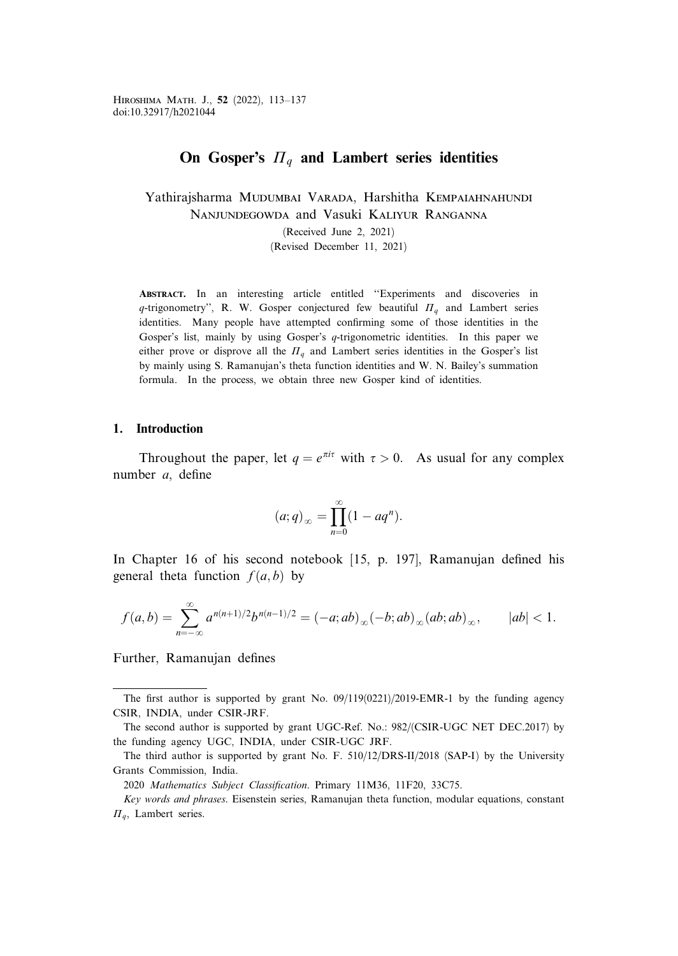# On Gosper's  $\Pi_a$  and Lambert series identities

Yathirajsharma MUDUMBAI VARADA, Harshitha KEMPAIAHNAHUNDI Nanjundegowda and Vasuki Kaliyur Ranganna

(Received June 2, 2021)

(Revised December 11, 2021)

Abstract. In an interesting article entitled ''Experiments and discoveries in q-trigonometry", R. W. Gosper conjectured few beautiful  $\Pi_q$  and Lambert series identities. Many people have attempted confirming some of those identities in the Gosper's list, mainly by using Gosper's q-trigonometric identities. In this paper we either prove or disprove all the  $\Pi_q$  and Lambert series identities in the Gosper's list by mainly using S. Ramanujan's theta function identities and W. N. Bailey's summation formula. In the process, we obtain three new Gosper kind of identities.

#### 1. Introduction

Throughout the paper, let  $q = e^{\pi i \tau}$  with  $\tau > 0$ . As usual for any complex number a, define

$$
(a;q)_{\infty} = \prod_{n=0}^{\infty} (1 - aq^n).
$$

In Chapter 16 of his second notebook [15, p. 197], Ramanujan defined his general theta function  $f(a, b)$  by

$$
f(a,b) = \sum_{n=-\infty}^{\infty} a^{n(n+1)/2} b^{n(n-1)/2} = (-a; ab)_{\infty} (-b; ab)_{\infty} (ab; ab)_{\infty}, \qquad |ab| < 1.
$$

Further, Ramanujan defines

The first author is supported by grant No.  $09/119(0221)/2019$ -EMR-1 by the funding agency CSIR, INDIA, under CSIR-JRF.

The second author is supported by grant UGC-Ref. No.: 982/(CSIR-UGC NET DEC.2017) by the funding agency UGC, INDIA, under CSIR-UGC JRF.

The third author is supported by grant No. F. 510/12/DRS-II/2018 (SAP-I) by the University Grants Commission, India.

<sup>2020</sup> Mathematics Subject Classification. Primary 11M36, 11F20, 33C75.

Key words and phrases. Eisenstein series, Ramanujan theta function, modular equations, constant  $\Pi_a$ , Lambert series.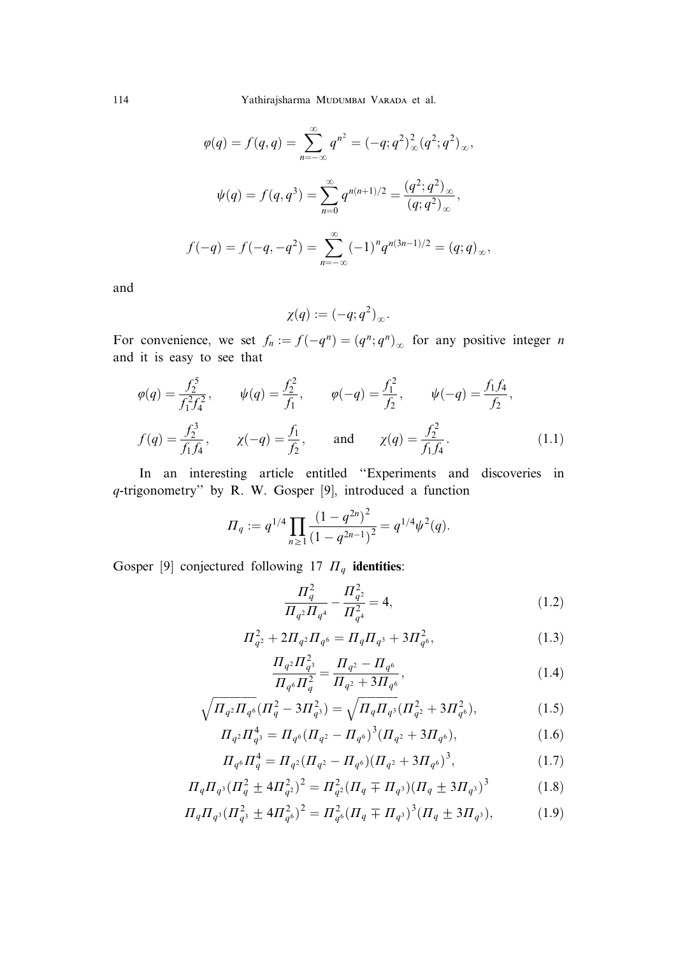114 Yathirajsharma Mudumbai Varada et al.

$$
\varphi(q) = f(q, q) = \sum_{n = -\infty}^{\infty} q^{n^2} = (-q; q^2)_{\infty}^2 (q^2; q^2)_{\infty},
$$
  

$$
\psi(q) = f(q, q^3) = \sum_{n = 0}^{\infty} q^{n(n+1)/2} = \frac{(q^2; q^2)_{\infty}}{(q; q^2)_{\infty}},
$$
  

$$
f(-q) = f(-q, -q^2) = \sum_{n = -\infty}^{\infty} (-1)^n q^{n(3n-1)/2} = (q; q)_{\infty},
$$

and

$$
\chi(q):=(-q;q^2)_{\infty}.
$$

For convenience, we set  $f_n := f(-q^n) = (q^n; q^n)_{\infty}$  for any positive integer n and it is easy to see that

$$
\varphi(q) = \frac{f_2^5}{f_1^2 f_4^2}, \qquad \psi(q) = \frac{f_2^2}{f_1}, \qquad \varphi(-q) = \frac{f_1^2}{f_2}, \qquad \psi(-q) = \frac{f_1 f_4}{f_2},
$$
  

$$
f(q) = \frac{f_2^3}{f_1 f_4}, \qquad \chi(-q) = \frac{f_1}{f_2}, \qquad \text{and} \qquad \chi(q) = \frac{f_2^2}{f_1 f_4}.
$$
 (1.1)

In an interesting article entitled ''Experiments and discoveries in q-trigonometry'' by R. W. Gosper [9], introduced a function

$$
\Pi_q := q^{1/4} \prod_{n \ge 1} \frac{(1 - q^{2n})^2}{(1 - q^{2n-1})^2} = q^{1/4} \psi^2(q).
$$

Gosper [9] conjectured following 17  $\Pi_q$  identities:

$$
\frac{\Pi_q^2}{\Pi_{q^2}\Pi_{q^4}} - \frac{\Pi_{q^2}^2}{\Pi_{q^4}^2} = 4,
$$
\n(1.2)

$$
\Pi_{q^2}^2 + 2\Pi_{q^2}\Pi_{q^6} = \Pi_q\Pi_{q^3} + 3\Pi_{q^6}^2,\tag{1.3}
$$

$$
\frac{\Pi_{q^2}\Pi_{q^3}^2}{\Pi_{q^6}\Pi_q^2} = \frac{\Pi_{q^2} - \Pi_{q^6}}{\Pi_{q^2} + 3\Pi_{q^6}},\tag{1.4}
$$

$$
\sqrt{\Pi_{q^2}\Pi_{q^6}}(\Pi_q^2 - 3\Pi_{q^3}^2) = \sqrt{\Pi_q\Pi_{q^3}}(\Pi_{q^2}^2 + 3\Pi_{q^6}^2),\tag{1.5}
$$

$$
\Pi_{q^2} \Pi_{q^3}^4 = \Pi_{q^6} (\Pi_{q^2} - \Pi_{q^6})^3 (\Pi_{q^2} + 3\Pi_{q^6}), \tag{1.6}
$$

$$
\Pi_{q^6} \Pi_q^4 = \Pi_{q^2} (\Pi_{q^2} - \Pi_{q^6}) (\Pi_{q^2} + 3\Pi_{q^6})^3, \tag{1.7}
$$

$$
\Pi_q \Pi_{q^3} (\Pi_q^2 \pm 4\Pi_{q^2}^2)^2 = \Pi_{q^2}^2 (\Pi_q \mp \Pi_{q^3}) (\Pi_q \pm 3\Pi_{q^3})^3 \tag{1.8}
$$

$$
\Pi_q \Pi_{q^3} (\Pi_{q^3}^2 \pm 4\Pi_{q^6}^2)^2 = \Pi_{q^6}^2 (\Pi_q \mp \Pi_{q^3})^3 (\Pi_q \pm 3\Pi_{q^3}),\tag{1.9}
$$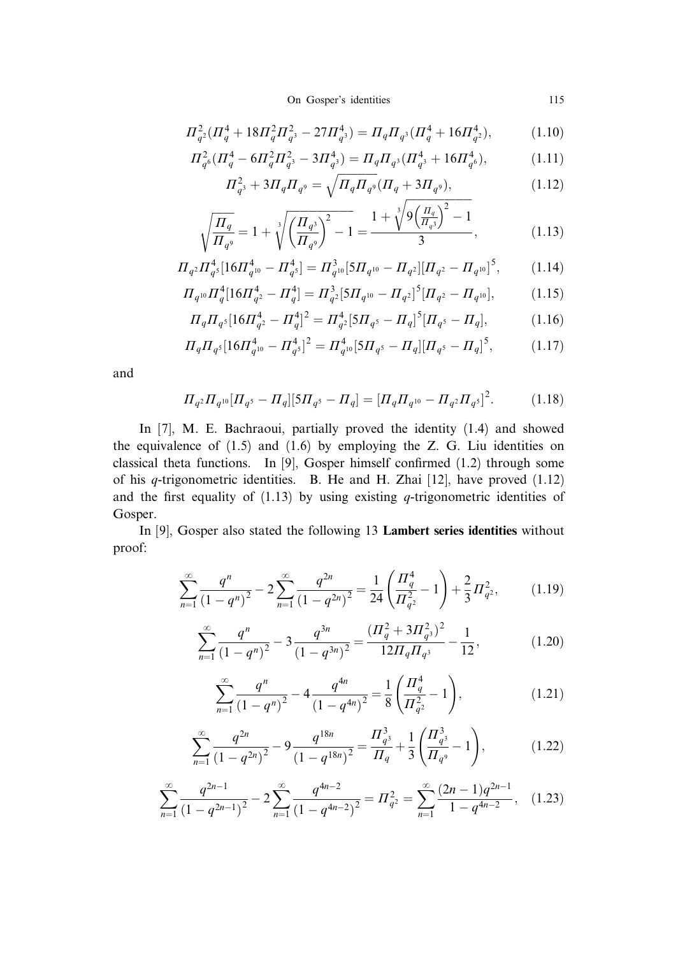On Gosper's identities 115

$$
\Pi_{q^2}^2(\Pi_q^4 + 18\Pi_q^2\Pi_{q^3}^2 - 27\Pi_{q^3}^4) = \Pi_q\Pi_{q^3}(\Pi_q^4 + 16\Pi_{q^2}^4),\tag{1.10}
$$

$$
\Pi_{q^6}^2(\Pi_q^4 - 6\Pi_q^2\Pi_{q^3}^2 - 3\Pi_{q^3}^4) = \Pi_q\Pi_{q^3}(\Pi_{q^3}^4 + 16\Pi_{q^6}^4),\tag{1.11}
$$

$$
\Pi_{q^3}^2 + 3\Pi_q \Pi_{q^9} = \sqrt{\Pi_q \Pi_{q^9} (\Pi_q + 3\Pi_{q^9})},\tag{1.12}
$$

$$
\sqrt{\frac{\Pi_q}{\Pi_{q^9}}} = 1 + \sqrt[3]{\left(\frac{\Pi_{q^3}}{\Pi_{q^9}}\right)^2 - 1} = \frac{1 + \sqrt[3]{9\left(\frac{\Pi_q}{\Pi_{q^3}}\right)^2 - 1}}{3},\tag{1.13}
$$

$$
\Pi_{q^2} \Pi_{q^5}^4 [16 \Pi_{q^{10}}^4 - \Pi_{q^5}^4] = \Pi_{q^{10}}^3 [5 \Pi_{q^{10}} - \Pi_{q^2}] [\Pi_{q^2} - \Pi_{q^{10}}]^5, \tag{1.14}
$$

$$
\Pi_{q^{10}} \Pi_q^4 [16 \Pi_{q^2}^4 - \Pi_q^4] = \Pi_{q^2}^3 [5 \Pi_{q^{10}} - \Pi_{q^2}]^5 [\Pi_{q^2} - \Pi_{q^{10}}],\tag{1.15}
$$

$$
\Pi_q \Pi_{q^5} [16 \Pi_{q^2}^4 - \Pi_q^4]^2 = \Pi_{q^2}^4 [5 \Pi_{q^5} - \Pi_q]^5 [\Pi_{q^5} - \Pi_q],\tag{1.16}
$$

$$
\Pi_q \Pi_{q^5} [16 \Pi_{q^{10}}^4 - \Pi_{q^5}^4]^2 = \Pi_{q^{10}}^4 [5 \Pi_{q^5} - \Pi_q] [\Pi_{q^5} - \Pi_q]^5, \tag{1.17}
$$

and

$$
\Pi_{q^2}\Pi_{q^{10}}[\Pi_{q^5} - \Pi_q][5\Pi_{q^5} - \Pi_q] = [\Pi_q\Pi_{q^{10}} - \Pi_{q^2}\Pi_{q^5}]^2. \tag{1.18}
$$

In [7], M. E. Bachraoui, partially proved the identity (1.4) and showed the equivalence of  $(1.5)$  and  $(1.6)$  by employing the Z. G. Liu identities on classical theta functions. In [9], Gosper himself confirmed (1.2) through some of his q-trigonometric identities. B. He and H. Zhai [12], have proved (1.12) and the first equality of  $(1.13)$  by using existing q-trigonometric identities of Gosper.

In [9], Gosper also stated the following 13 Lambert series identities without proof:

$$
\sum_{n=1}^{\infty} \frac{q^n}{(1-q^n)^2} - 2\sum_{n=1}^{\infty} \frac{q^{2n}}{(1-q^{2n})^2} = \frac{1}{24} \left( \frac{\Pi_q^4}{\Pi_{q^2}^2} - 1 \right) + \frac{2}{3} \Pi_{q^2}^2,
$$
 (1.19)

$$
\sum_{n=1}^{\infty} \frac{q^n}{\left(1-q^n\right)^2} - 3 \frac{q^{3n}}{\left(1-q^{3n}\right)^2} = \frac{\left(\frac{q^2}{q} + 3\frac{q^2}{q^3}\right)^2}{12\frac{q^2}{q^3}} - \frac{1}{12},\tag{1.20}
$$

$$
\sum_{n=1}^{\infty} \frac{q^n}{(1-q^n)^2} - 4 \frac{q^{4n}}{(1-q^{4n})^2} = \frac{1}{8} \left( \frac{\Pi_q^4}{\Pi_{q^2}^2} - 1 \right),\tag{1.21}
$$

$$
\sum_{n=1}^{\infty} \frac{q^{2n}}{\left(1 - q^{2n}\right)^2} - 9 \frac{q^{18n}}{\left(1 - q^{18n}\right)^2} = \frac{\prod_{q^3}^3}{\prod_q} + \frac{1}{3} \left(\frac{\prod_{q^3}^3}{\prod_{q^9} - 1}\right),\tag{1.22}
$$

$$
\sum_{n=1}^{\infty} \frac{q^{2n-1}}{(1-q^{2n-1})^2} - 2\sum_{n=1}^{\infty} \frac{q^{4n-2}}{(1-q^{4n-2})^2} = \Pi_{q^2}^2 = \sum_{n=1}^{\infty} \frac{(2n-1)q^{2n-1}}{1-q^{4n-2}},\quad(1.23)
$$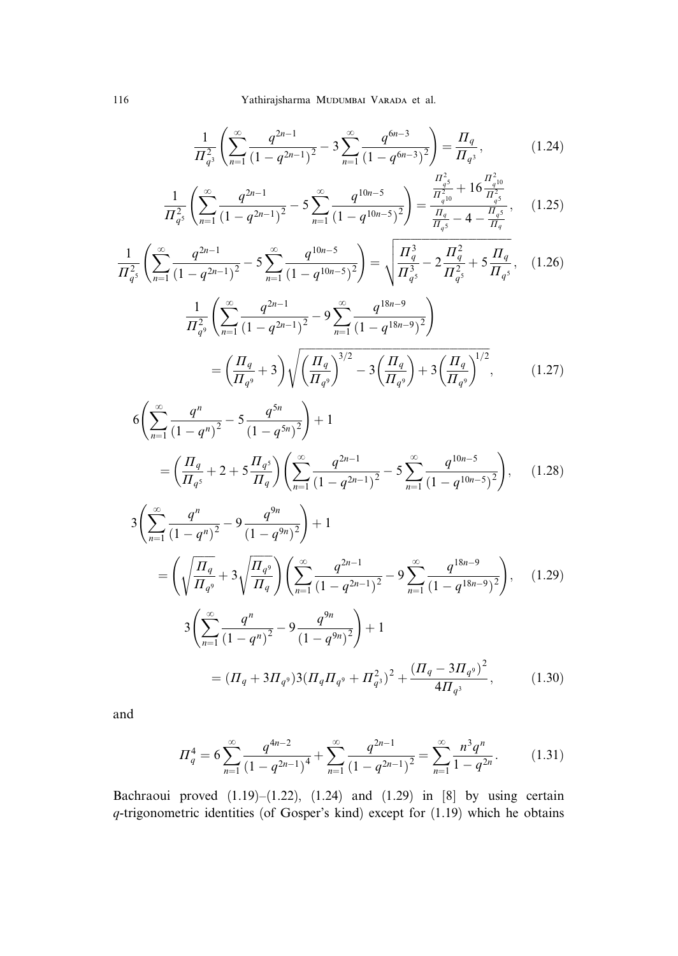$$
\frac{1}{\prod_{q^3}^2} \left( \sum_{n=1}^{\infty} \frac{q^{2n-1}}{(1-q^{2n-1})^2} - 3 \sum_{n=1}^{\infty} \frac{q^{6n-3}}{(1-q^{6n-3})^2} \right) = \frac{\prod_q}{\prod_{q^3}},\tag{1.24}
$$

$$
\frac{1}{\prod_{q^5}^2} \left( \sum_{n=1}^{\infty} \frac{q^{2n-1}}{(1-q^{2n-1})^2} - 5 \sum_{n=1}^{\infty} \frac{q^{10n-5}}{(1-q^{10n-5})^2} \right) = \frac{\frac{\prod_{q^5}^2}{\prod_{q^1=0}^2} + 16 \frac{\prod_{q^{10}}^2}{\prod_{q^5=0}^2}}{\frac{\prod_{q^5=0}^2}{\prod_{q^5=0}^2} - 4 - \frac{\prod_{q^5=0}^2}{\prod_{q^5=0}^2}},
$$
(1.25)

$$
\frac{1}{\Pi_{q^5}^2} \left( \sum_{n=1}^{\infty} \frac{q^{2n-1}}{(1-q^{2n-1})^2} - 5 \sum_{n=1}^{\infty} \frac{q^{10n-5}}{(1-q^{10n-5})^2} \right) = \sqrt{\frac{\Pi_q^3}{\Pi_{q^5}^3} - 2 \frac{\Pi_q^2}{\Pi_{q^5}^2} + 5 \frac{\Pi_q}{\Pi_{q^5}}},
$$
(1.26)

$$
\frac{1}{\Pi_{q^9}^2} \left( \sum_{n=1}^{\infty} \frac{q^{2n-1}}{(1-q^{2n-1})^2} - 9 \sum_{n=1}^{\infty} \frac{q^{18n-9}}{(1-q^{18n-9})^2} \right)
$$
\n
$$
= \left( \frac{\Pi_q}{\Pi_{q^9}} + 3 \right) \sqrt{\left( \frac{\Pi_q}{\Pi_{q^9}} \right)^{3/2} - 3 \left( \frac{\Pi_q}{\Pi_{q^9}} \right) + 3 \left( \frac{\Pi_q}{\Pi_{q^9}} \right)^{1/2}},\tag{1.27}
$$

$$
6\left(\sum_{n=1}^{\infty} \frac{q^n}{(1-q^n)^2} - 5\frac{q^{5n}}{(1-q^{5n})^2}\right) + 1
$$
  
=  $\left(\frac{\Pi_q}{\Pi_{q^5}} + 2 + 5\frac{\Pi_{q^5}}{\Pi_q}\right)\left(\sum_{n=1}^{\infty} \frac{q^{2n-1}}{(1-q^{2n-1})^2} - 5\sum_{n=1}^{\infty} \frac{q^{10n-5}}{(1-q^{10n-5})^2}\right),$  (1.28)

$$
3\left(\sum_{n=1}^{\infty} \frac{q^n}{(1-q^n)^2} - 9\frac{q^{9n}}{(1-q^{9n})^2}\right) + 1
$$
  
=  $\left(\sqrt{\frac{\Pi_q}{\Pi_{q^9}}} + 3\sqrt{\frac{\Pi_{q^9}}{\Pi_q}}\right)\left(\sum_{n=1}^{\infty} \frac{q^{2n-1}}{(1-q^{2n-1})^2} - 9\sum_{n=1}^{\infty} \frac{q^{18n-9}}{(1-q^{18n-9})^2}\right),$  (1.29)  

$$
3\left(\sum_{n=1}^{\infty} \frac{q^n}{(1-q^n)^2} - 9\frac{q^{9n}}{(1-q^{9n})^2}\right) + 1
$$
  
=  $(\Pi_q + 3\Pi_{q^9})3(\Pi_q \Pi_{q^9} + \Pi_{q^3}^2)^2 + \frac{(\Pi_q - 3\Pi_{q^9})^2}{4\Pi_{q^3}},$  (1.30)

and

$$
\Pi_q^4 = 6 \sum_{n=1}^{\infty} \frac{q^{4n-2}}{(1-q^{2n-1})^4} + \sum_{n=1}^{\infty} \frac{q^{2n-1}}{(1-q^{2n-1})^2} = \sum_{n=1}^{\infty} \frac{n^3 q^n}{1-q^{2n}}.
$$
 (1.31)

Bachraoui proved (1.19)–(1.22), (1.24) and (1.29) in [8] by using certain q-trigonometric identities (of Gosper's kind) except for (1.19) which he obtains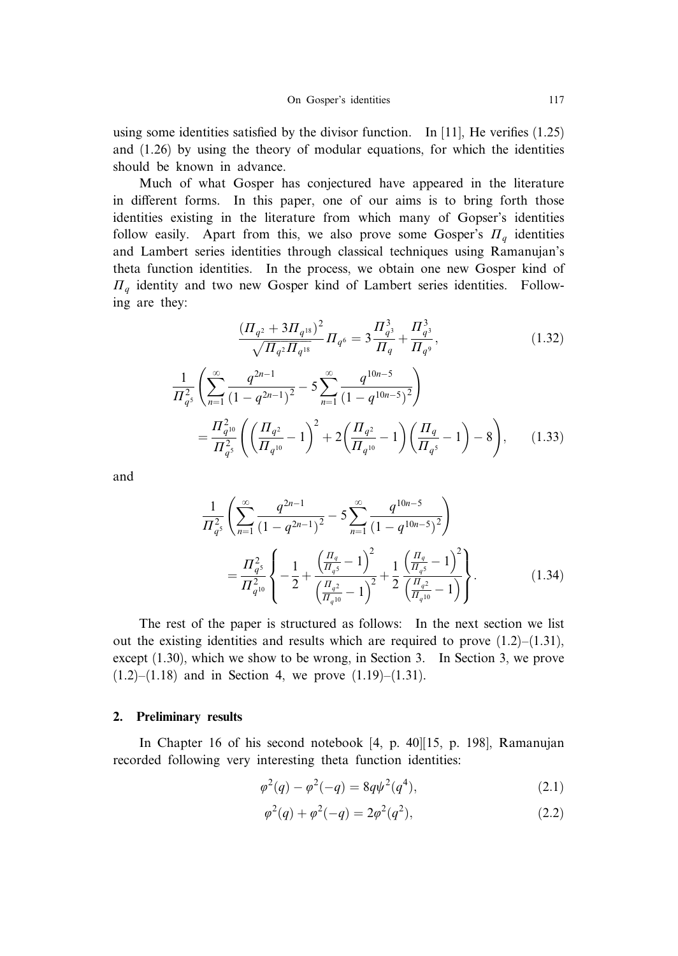using some identities satisfied by the divisor function. In [11], He verifies (1.25) and (1.26) by using the theory of modular equations, for which the identities should be known in advance.

Much of what Gosper has conjectured have appeared in the literature in different forms. In this paper, one of our aims is to bring forth those identities existing in the literature from which many of Gopser's identities follow easily. Apart from this, we also prove some Gosper's  $\Pi_q$  identities and Lambert series identities through classical techniques using Ramanujan's theta function identities. In the process, we obtain one new Gosper kind of  $\Pi_q$  identity and two new Gosper kind of Lambert series identities. Following are they:

$$
\frac{\left(\Pi_{q^2} + 3\Pi_{q^{18}}\right)^2}{\sqrt{\Pi_{q^2}\Pi_{q^{18}}}}\Pi_{q^6} = 3\frac{\Pi_{q^3}^3}{\Pi_q} + \frac{\Pi_{q^3}^3}{\Pi_{q^9}},
$$
\n
$$
\frac{1}{\Pi_{q^5}^2} \left( \sum_{n=1}^{\infty} \frac{q^{2n-1}}{(1-q^{2n-1})^2} - 5\sum_{n=1}^{\infty} \frac{q^{10n-5}}{(1-q^{10n-5})^2} \right)
$$
\n
$$
= \frac{\Pi_{q^{10}}^2}{\Pi_{q^5}^2} \left( \left(\frac{\Pi_{q^2}}{\Pi_{q^{10}}} - 1\right)^2 + 2\left(\frac{\Pi_{q^2}}{\Pi_{q^{10}}} - 1\right) \left(\frac{\Pi_q}{\Pi_{q^5}} - 1\right) - 8 \right),
$$
\n(1.33)

and

$$
\frac{1}{\Pi_{q^5}^2} \left( \sum_{n=1}^{\infty} \frac{q^{2n-1}}{(1-q^{2n-1})^2} - 5 \sum_{n=1}^{\infty} \frac{q^{10n-5}}{(1-q^{10n-5})^2} \right)
$$
\n
$$
= \frac{\Pi_{q^5}^2}{\Pi_{q^{10}}^2} \left\{ -\frac{1}{2} + \frac{\left(\frac{\Pi_q}{\Pi_{q^5}} - 1\right)^2}{\left(\frac{\Pi_{q^2}}{\Pi_{q^{10}}} - 1\right)^2} + \frac{1}{2} \frac{\left(\frac{\Pi_q}{\Pi_{q^5}} - 1\right)^2}{\left(\frac{\Pi_{q^2}}{\Pi_{q^{10}}} - 1\right)} \right\}.
$$
\n(1.34)

The rest of the paper is structured as follows: In the next section we list out the existing identities and results which are required to prove  $(1.2)$ – $(1.31)$ , except (1.30), which we show to be wrong, in Section 3. In Section 3, we prove  $(1.2)$ – $(1.18)$  and in Section 4, we prove  $(1.19)$ – $(1.31)$ .

### 2. Preliminary results

In Chapter 16 of his second notebook [4, p. 40][15, p. 198], Ramanujan recorded following very interesting theta function identities:

$$
\varphi^2(q) - \varphi^2(-q) = 8q\psi^2(q^4),\tag{2.1}
$$

$$
\varphi^2(q) + \varphi^2(-q) = 2\varphi^2(q^2),\tag{2.2}
$$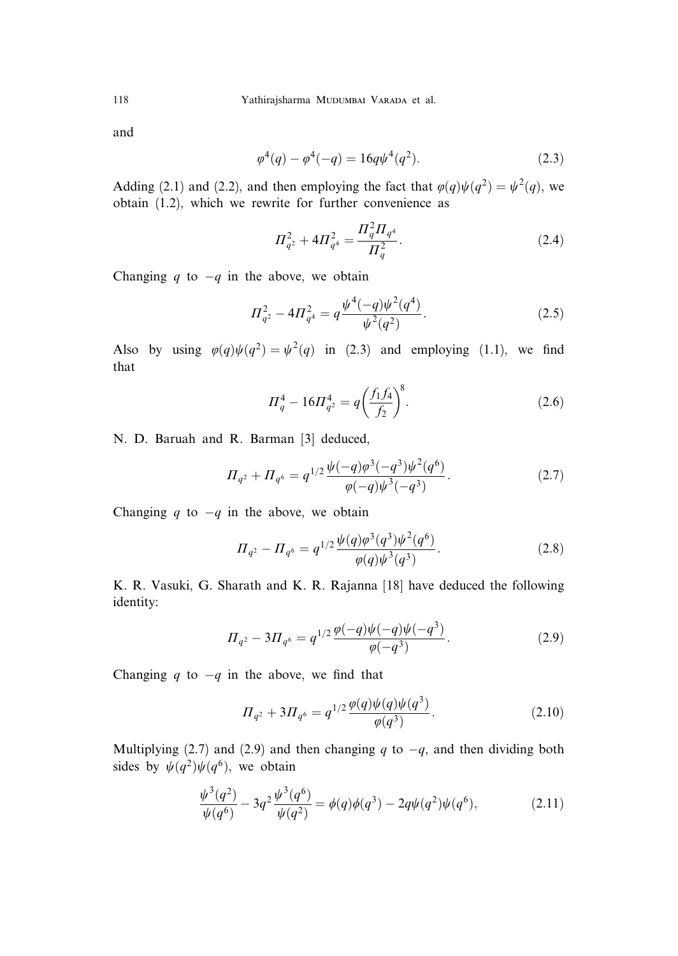and

$$
\varphi^4(q) - \varphi^4(-q) = 16q\psi^4(q^2). \tag{2.3}
$$

Adding (2.1) and (2.2), and then employing the fact that  $\varphi(q)\psi(q^2) = \psi^2(q)$ , we obtain (1.2), which we rewrite for further convenience as

$$
\Pi_{q^2}^2 + 4\Pi_{q^4}^2 = \frac{\Pi_q^2 \Pi_{q^4}}{\Pi_q^2}.
$$
\n(2.4)

Changing q to  $-q$  in the above, we obtain

$$
\Pi_{q^2}^2 - 4\Pi_{q^4}^2 = q \frac{\psi^4(-q)\psi^2(q^4)}{\psi^2(q^2)}.
$$
\n(2.5)

Also by using  $\varphi(q)\psi(q^2) = \psi^2(q)$  in (2.3) and employing (1.1), we find that

$$
\Pi_q^4 - 16\Pi_{q^2}^4 = q \left(\frac{f_1 f_4}{f_2}\right)^8.
$$
\n(2.6)

N. D. Baruah and R. Barman [3] deduced,

$$
\Pi_{q^2} + \Pi_{q^6} = q^{1/2} \frac{\psi(-q)\varphi^3(-q^3)\psi^2(q^6)}{\varphi(-q)\psi^3(-q^3)}.
$$
\n(2.7)

Changing q to  $-q$  in the above, we obtain

$$
\Pi_{q^2} - \Pi_{q^6} = q^{1/2} \frac{\psi(q)\varphi^3(q^3)\psi^2(q^6)}{\varphi(q)\psi^3(q^3)}.
$$
\n(2.8)

K. R. Vasuki, G. Sharath and K. R. Rajanna [18] have deduced the following identity:

$$
\Pi_{q^2} - 3\Pi_{q^6} = q^{1/2} \frac{\varphi(-q)\psi(-q)\psi(-q^3)}{\varphi(-q^3)}.
$$
\n(2.9)

Changing q to  $-q$  in the above, we find that

$$
\Pi_{q^2} + 3\Pi_{q^6} = q^{1/2} \frac{\varphi(q)\psi(q)\psi(q^3)}{\varphi(q^3)}.
$$
\n(2.10)

Multiplying (2.7) and (2.9) and then changing q to  $-q$ , and then dividing both sides by  $\psi(q^2)\psi(q^6)$ , we obtain

$$
\frac{\psi^3(q^2)}{\psi(q^6)} - 3q^2 \frac{\psi^3(q^6)}{\psi(q^2)} = \phi(q)\phi(q^3) - 2q\psi(q^2)\psi(q^6),\tag{2.11}
$$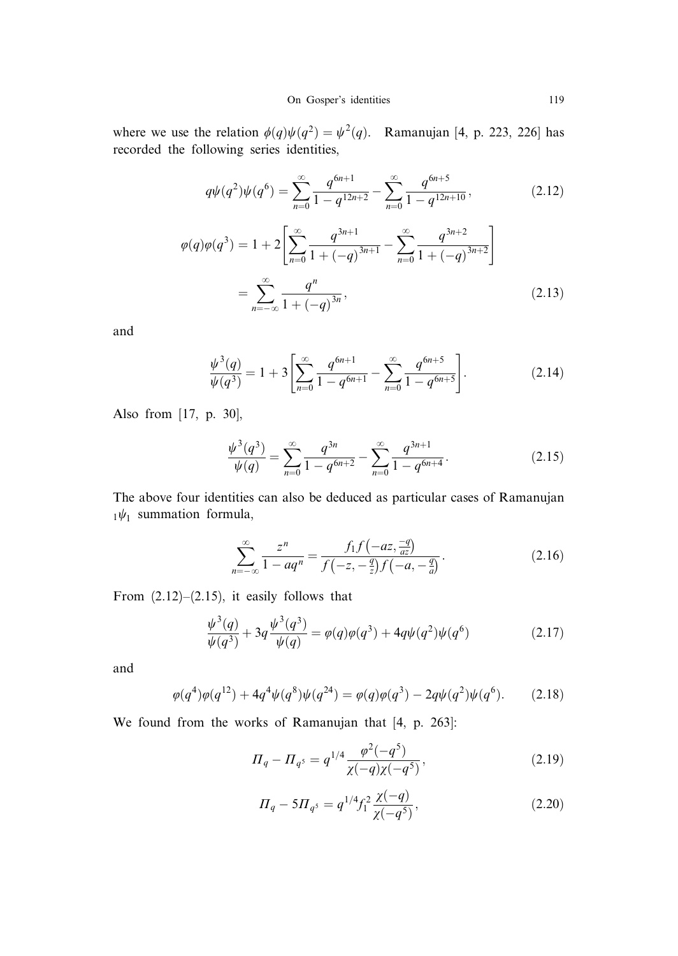where we use the relation  $\phi(q)\psi(q^2) = \psi^2(q)$ . Ramanujan [4, p. 223, 226] has recorded the following series identities,

$$
q\psi(q^2)\psi(q^6) = \sum_{n=0}^{\infty} \frac{q^{6n+1}}{1-q^{12n+2}} - \sum_{n=0}^{\infty} \frac{q^{6n+5}}{1-q^{12n+10}},
$$
(2.12)  

$$
\varphi(q)\varphi(q^3) = 1 + 2\left[\sum_{n=0}^{\infty} \frac{q^{3n+1}}{1+(-q)^{3n+1}} - \sum_{n=0}^{\infty} \frac{q^{3n+2}}{1+(-q)^{3n+2}}\right]
$$

$$
= \sum_{n=-\infty}^{\infty} \frac{q^n}{1+(-q)^{3n}},
$$
(2.13)

and

$$
\frac{\psi^3(q)}{\psi(q^3)} = 1 + 3 \left[ \sum_{n=0}^{\infty} \frac{q^{6n+1}}{1 - q^{6n+1}} - \sum_{n=0}^{\infty} \frac{q^{6n+5}}{1 - q^{6n+5}} \right].
$$
 (2.14)

Also from [17, p. 30],

$$
\frac{\psi^3(q^3)}{\psi(q)} = \sum_{n=0}^{\infty} \frac{q^{3n}}{1 - q^{6n+2}} - \sum_{n=0}^{\infty} \frac{q^{3n+1}}{1 - q^{6n+4}}.
$$
\n(2.15)

The above four identities can also be deduced as particular cases of Ramanujan  $_1\psi_1$  summation formula,

$$
\sum_{n=-\infty}^{\infty} \frac{z^n}{1 - aq^n} = \frac{f_1 f(-az, \frac{-q}{az})}{f(-z, -\frac{q}{z}) f(-a, -\frac{q}{a})}.
$$
 (2.16)

From  $(2.12)$ – $(2.15)$ , it easily follows that

$$
\frac{\psi^3(q)}{\psi(q^3)} + 3q \frac{\psi^3(q^3)}{\psi(q)} = \varphi(q)\varphi(q^3) + 4q\psi(q^2)\psi(q^6)
$$
\n(2.17)

and

$$
\varphi(q^4)\varphi(q^{12}) + 4q^4\psi(q^8)\psi(q^{24}) = \varphi(q)\varphi(q^3) - 2q\psi(q^2)\psi(q^6). \tag{2.18}
$$

We found from the works of Ramanujan that [4, p. 263]:

$$
\Pi_q - \Pi_{q^5} = q^{1/4} \frac{\varphi^2(-q^5)}{\chi(-q)\chi(-q^5)},\tag{2.19}
$$

$$
\Pi_q - 5\Pi_{q^5} = q^{1/4} f_1^2 \frac{\chi(-q)}{\chi(-q^5)},\tag{2.20}
$$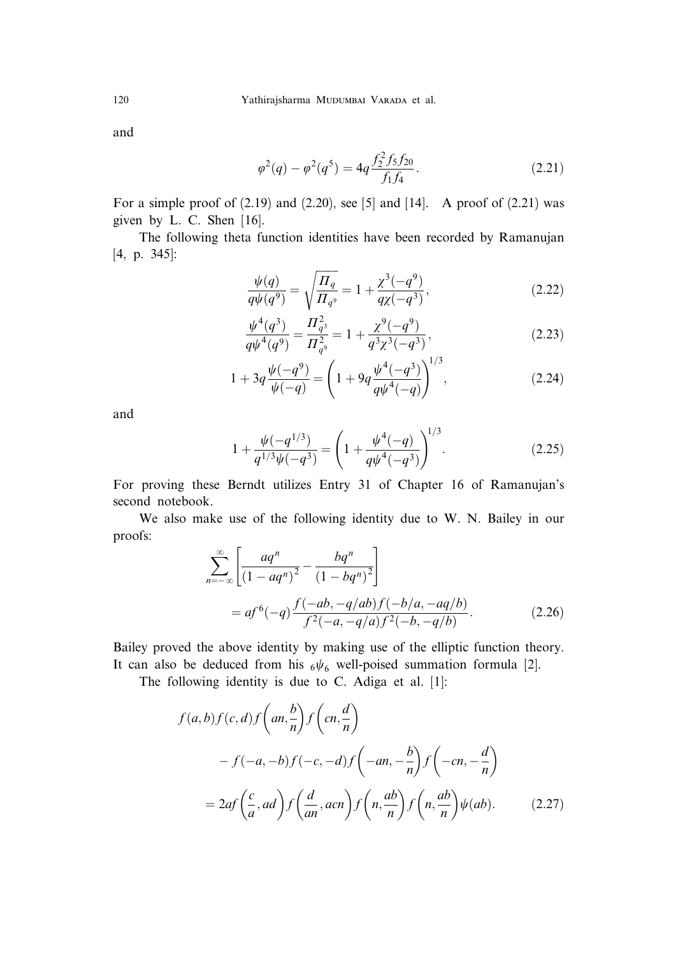and

$$
\varphi^2(q) - \varphi^2(q^5) = 4q \frac{f_2^2 f_5 f_{20}}{f_1 f_4}.
$$
\n(2.21)

For a simple proof of  $(2.19)$  and  $(2.20)$ , see [5] and [14]. A proof of  $(2.21)$  was given by L. C. Shen [16].

The following theta function identities have been recorded by Ramanujan [4, p. 345]:

$$
\frac{\psi(q)}{q\psi(q^9)} = \sqrt{\frac{\Pi_q}{\Pi_{q^9}}} = 1 + \frac{\chi^3(-q^9)}{q\chi(-q^3)},
$$
\n(2.22)

$$
\frac{\psi^4(q^3)}{q\psi^4(q^9)} = \frac{\Pi_{q^3}^2}{\Pi_{q^9}^2} = 1 + \frac{\chi^9(-q^9)}{q^3\chi^3(-q^3)},
$$
\n(2.23)

$$
1 + 3q \frac{\psi(-q^9)}{\psi(-q)} = \left(1 + 9q \frac{\psi^4(-q^3)}{q\psi^4(-q)}\right)^{1/3},\tag{2.24}
$$

and

$$
1 + \frac{\psi(-q^{1/3})}{q^{1/3}\psi(-q^3)} = \left(1 + \frac{\psi^4(-q)}{q\psi^4(-q^3)}\right)^{1/3}.
$$
 (2.25)

For proving these Berndt utilizes Entry 31 of Chapter 16 of Ramanujan's second notebook.

We also make use of the following identity due to W. N. Bailey in our proofs:

$$
\sum_{n=-\infty}^{\infty} \left[ \frac{aq^n}{(1-aq^n)^2} - \frac{bq^n}{(1-bq^n)^2} \right]
$$
  
=  $af^6(-q) \frac{f(-ab, -q/ab)f(-b/a, -aq/b)}{f^2(-a, -q/a)f^2(-b, -q/b)}$ . (2.26)

Bailey proved the above identity by making use of the elliptic function theory. It can also be deduced from his  $6\psi_6$  well-poised summation formula [2].

The following identity is due to C. Adiga et al. [1]:

$$
f(a,b)f(c,d)f\left(an,\frac{b}{n}\right)f\left(cn,\frac{d}{n}\right)
$$

$$
-f(-a,-b)f(-c,-d)f\left(-an,-\frac{b}{n}\right)f\left(-cn,-\frac{d}{n}\right)
$$

$$
=2af\left(\frac{c}{a},ad\right)f\left(\frac{d}{an},acn\right)f\left(n,\frac{ab}{n}\right)f\left(n,\frac{ab}{n}\right)\psi(ab). \tag{2.27}
$$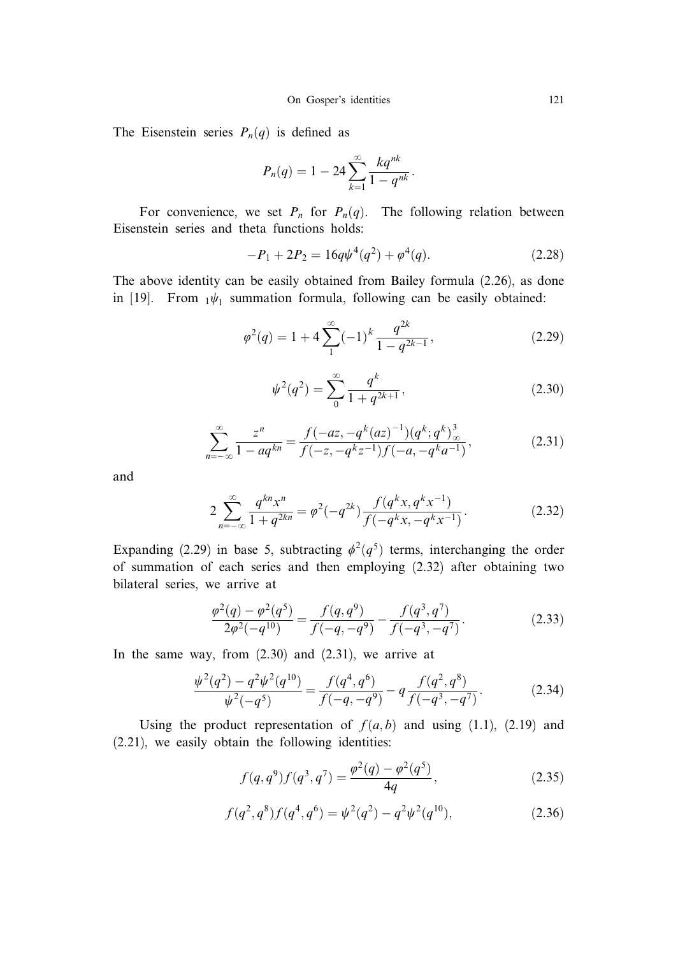The Eisenstein series  $P_n(q)$  is defined as

$$
P_n(q) = 1 - 24 \sum_{k=1}^{\infty} \frac{kq^{nk}}{1 - q^{nk}}.
$$

For convenience, we set  $P_n$  for  $P_n(q)$ . The following relation between Eisenstein series and theta functions holds:

$$
-P_1 + 2P_2 = 16q\psi^4(q^2) + \varphi^4(q). \tag{2.28}
$$

The above identity can be easily obtained from Bailey formula (2.26), as done in [19]. From  $_1\psi_1$  summation formula, following can be easily obtained:

$$
\varphi^2(q) = 1 + 4 \sum_{1}^{\infty} (-1)^k \frac{q^{2k}}{1 - q^{2k - 1}},
$$
\n(2.29)

$$
\psi^2(q^2) = \sum_{0}^{\infty} \frac{q^k}{1 + q^{2k+1}},\tag{2.30}
$$

$$
\sum_{n=-\infty}^{\infty} \frac{z^n}{1-aq^{kn}} = \frac{f(-az, -q^k(az)^{-1})(q^k; q^k)_{\infty}^3}{f(-z, -q^kz^{-1})f(-a, -q^ka^{-1})},
$$
\n(2.31)

and

$$
2\sum_{n=-\infty}^{\infty} \frac{q^{kn} x^n}{1+q^{2kn}} = \varphi^2(-q^{2k}) \frac{f(q^k x, q^k x^{-1})}{f(-q^k x, -q^k x^{-1})}.
$$
 (2.32)

Expanding (2.29) in base 5, subtracting  $\phi^2(q^5)$  terms, interchanging the order of summation of each series and then employing (2.32) after obtaining two bilateral series, we arrive at

$$
\frac{\varphi^2(q) - \varphi^2(q^5)}{2\varphi^2(-q^{10})} = \frac{f(q, q^9)}{f(-q, -q^9)} - \frac{f(q^3, q^7)}{f(-q^3, -q^7)}.
$$
\n(2.33)

In the same way, from  $(2.30)$  and  $(2.31)$ , we arrive at

$$
\frac{\psi^2(q^2) - q^2 \psi^2(q^{10})}{\psi^2(-q^5)} = \frac{f(q^4, q^6)}{f(-q, -q^9)} - q \frac{f(q^2, q^8)}{f(-q^3, -q^7)}.
$$
(2.34)

Using the product representation of  $f(a, b)$  and using (1.1), (2.19) and (2.21), we easily obtain the following identities:

$$
f(q, q^9) f(q^3, q^7) = \frac{\varphi^2(q) - \varphi^2(q^5)}{4q}, \qquad (2.35)
$$

$$
f(q^2, q^8) f(q^4, q^6) = \psi^2(q^2) - q^2 \psi^2(q^{10}),
$$
\n(2.36)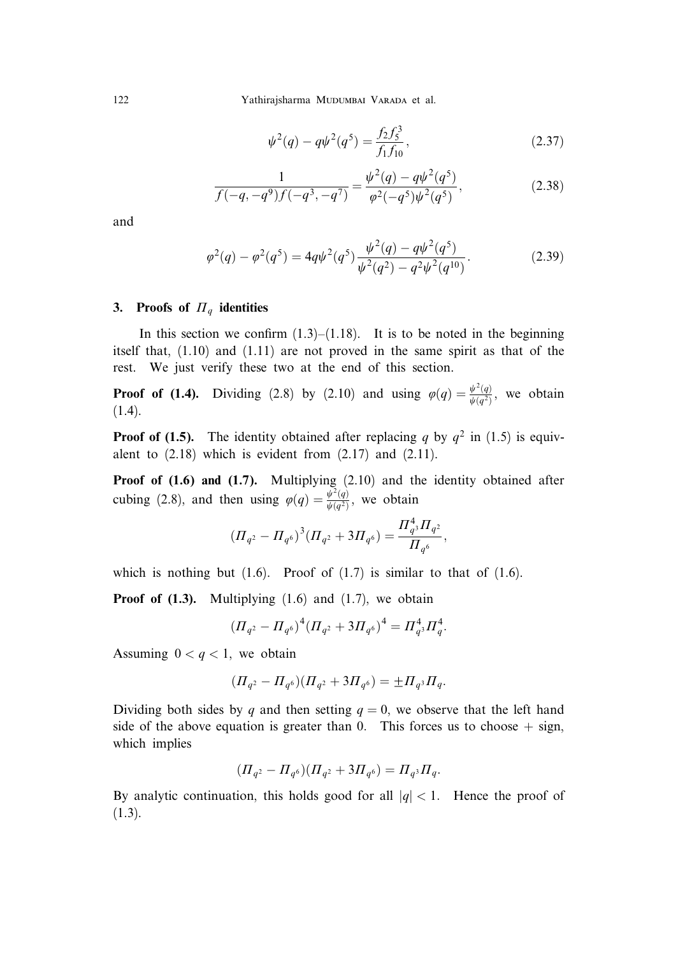122 Yathirajsharma Mudumbai Varada et al.

$$
\psi^2(q) - q\psi^2(q^5) = \frac{f_2 f_5^3}{f_1 f_{10}},\tag{2.37}
$$

$$
\frac{1}{f(-q, -q^9)f(-q^3, -q^7)} = \frac{\psi^2(q) - q\psi^2(q^5)}{\varphi^2(-q^5)\psi^2(q^5)},
$$
\n(2.38)

and

$$
\varphi^2(q) - \varphi^2(q^5) = 4q\psi^2(q^5) \frac{\psi^2(q) - q\psi^2(q^5)}{\psi^2(q^2) - q^2\psi^2(q^{10})}.
$$
\n(2.39)

## 3. Proofs of  $\Pi_q$  identities

In this section we confirm  $(1.3)$ – $(1.18)$ . It is to be noted in the beginning itself that, (1.10) and (1.11) are not proved in the same spirit as that of the rest. We just verify these two at the end of this section.

**Proof of (1.4).** Dividing (2.8) by (2.10) and using  $\varphi(q) = \frac{\psi^2(q)}{\psi(q^2)}$ , we obtain (1.4).

**Proof of (1.5).** The identity obtained after replacing q by  $q^2$  in (1.5) is equivalent to  $(2.18)$  which is evident from  $(2.17)$  and  $(2.11)$ .

Proof of  $(1.6)$  and  $(1.7)$ . Multiplying  $(2.10)$  and the identity obtained after cubing (2.8), and then using  $\varphi(q) = \frac{\psi^2(q)}{\psi(q^2)}$ , we obtain

$$
(H_{q^2}-H_{q^6})^3(H_{q^2}+3H_{q^6})=\frac{H_{q^3}^4H_{q^2}}{H_{q^6}},
$$

which is nothing but  $(1.6)$ . Proof of  $(1.7)$  is similar to that of  $(1.6)$ .

**Proof of (1.3).** Multiplying  $(1.6)$  and  $(1.7)$ , we obtain

$$
(H_{q^2} - H_{q^6})^4 (H_{q^2} + 3H_{q^6})^4 = H_{q^3}^4 H_q^4.
$$

Assuming  $0 < q < 1$ , we obtain

$$
(H_{q^2} - H_{q^6})(H_{q^2} + 3H_{q^6}) = \pm H_{q^3}H_q.
$$

Dividing both sides by q and then setting  $q = 0$ , we observe that the left hand side of the above equation is greater than 0. This forces us to choose  $+$  sign, which implies

$$
(H_{q^2} - H_{q^6})(H_{q^2} + 3H_{q^6}) = H_{q^3}H_q.
$$

By analytic continuation, this holds good for all  $|q| < 1$ . Hence the proof of (1.3).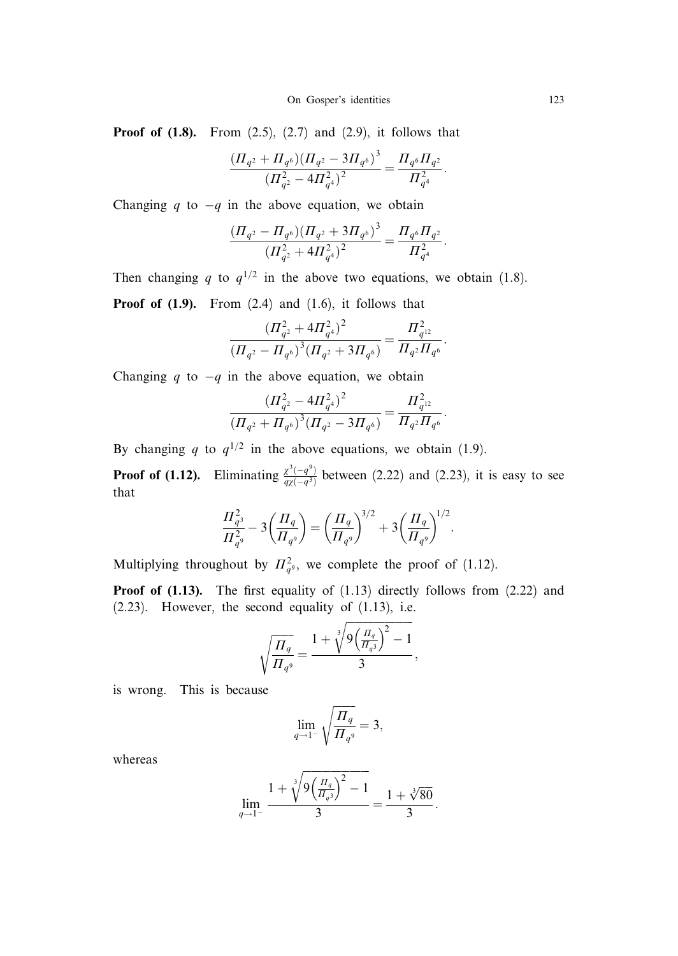**Proof of (1.8).** From  $(2.5)$ ,  $(2.7)$  and  $(2.9)$ , it follows that

$$
\frac{\left(\Pi_{q^2} + \Pi_{q^6}\right)\left(\Pi_{q^2} - 3\Pi_{q^6}\right)^3}{\left(\Pi_{q^2}^2 - 4\Pi_{q^4}^2\right)^2} = \frac{\Pi_{q^6}\Pi_{q^2}}{\Pi_{q^4}^2}.
$$

Changing q to  $-q$  in the above equation, we obtain

$$
\frac{(H_{q^2}-H_{q^6})(H_{q^2}+3H_{q^6})^3}{(H_{q^2}^2+4H_{q^4}^2)^2}=\frac{H_{q^6}H_{q^2}}{H_{q^4}^2}.
$$

Then changing q to  $q^{1/2}$  in the above two equations, we obtain (1.8). **Proof of (1.9).** From  $(2.4)$  and  $(1.6)$ , it follows that

$$
\frac{\left(\varPi_{q^2}^2+4\varPi_{q^4}^2\right)^2}{\left(\varPi_{q^2}-\varPi_{q^6}\right)^3\left(\varPi_{q^2}+3\varPi_{q^6}\right)}=\frac{\varPi_{q^{12}}^2}{\varPi_{q^2}\varPi_{q^6}}.
$$

Changing q to  $-q$  in the above equation, we obtain

$$
\frac{\left(\Pi_{q^2}^2 - 4\Pi_{q^4}^2\right)^2}{\left(\Pi_{q^2} + \Pi_{q^6}\right)^3 \left(\Pi_{q^2} - 3\Pi_{q^6}\right)} = \frac{\Pi_{q^{12}}^2}{\Pi_{q^2}\Pi_{q^6}}.
$$

By changing q to  $q^{1/2}$  in the above equations, we obtain (1.9).

**Proof of (1.12).** Eliminating  $\frac{\chi^3(-q^3)}{q\chi(-q^3)}$  between (2.22) and (2.23), it is easy to see that

$$
\frac{\Pi_{q^3}^2}{\Pi_{q^9}^2} - 3\left(\frac{\Pi_q}{\Pi_{q^9}}\right) = \left(\frac{\Pi_q}{\Pi_{q^9}}\right)^{3/2} + 3\left(\frac{\Pi_q}{\Pi_{q^9}}\right)^{1/2}.
$$

Multiplying throughout by  $\prod_{q=2}^{\infty}$ , we complete the proof of (1.12).

**Proof of (1.13).** The first equality of  $(1.13)$  directly follows from  $(2.22)$  and  $(2.23)$ . However, the second equality of  $(1.13)$ , i.e.

$$
\sqrt{\frac{\Pi_q}{\Pi_{q^9}}} = \frac{1 + \sqrt[3]{9\left(\frac{\Pi_q}{\Pi_{q^3}}\right)^2 - 1}}{3},
$$

is wrong. This is because

$$
\lim_{q \to 1^-} \sqrt{\frac{\Pi_q}{\Pi_{q^9}}} = 3,
$$

whereas

$$
\lim_{q \to 1^{-}} \frac{1 + \sqrt[3]{9\left(\frac{\Pi_q}{\Pi_q 3}\right)^2 - 1}}{3} = \frac{1 + \sqrt[3]{80}}{3}.
$$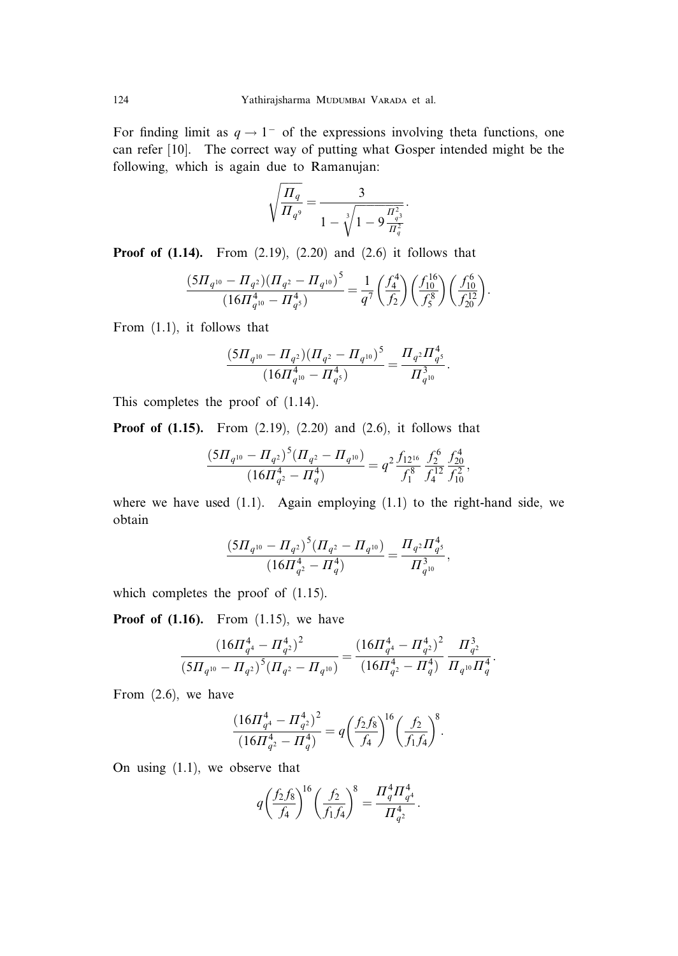For finding limit as  $q \rightarrow 1^-$  of the expressions involving theta functions, one can refer [10]. The correct way of putting what Gosper intended might be the following, which is again due to Ramanujan:

$$
\sqrt{\frac{\Pi_q}{\Pi_{q^9}}} = \frac{3}{1 - \sqrt[3]{1 - 9\frac{\Pi_q^2}{\Pi_q^2}}}.
$$

**Proof of (1.14).** From  $(2.19)$ ,  $(2.20)$  and  $(2.6)$  it follows that

$$
\frac{(5 \Pi_{q^{10}}-\Pi_{q^2})(\Pi_{q^2}-\Pi_{q^{10}})^5}{(16 \Pi_{q^{10}}^4-\Pi_{q^5}^4)}=\frac{1}{q^7}\bigg(\frac{f_4^4}{f_2}\bigg)\bigg(\frac{f_{10}^{16}}{f_5^8}\bigg)\bigg(\frac{f_{10}^6}{f_{20}^{12}}\bigg).
$$

From (1.1), it follows that

$$
\frac{(5\Pi_{q^{10}}-\Pi_{q^2})(\Pi_{q^2}-\Pi_{q^{10}})^5}{(16\Pi_{q^{10}}^4-\Pi_{q^5}^4)}=\frac{\Pi_{q^2}\Pi_{q^5}^4}{\Pi_{q^{10}}^3}.
$$

This completes the proof of (1.14).

Proof of (1.15). From (2.19), (2.20) and (2.6), it follows that

$$
\frac{(5\Pi_{q^{10}}-\Pi_{q^2})^5(\Pi_{q^2}-\Pi_{q^{10}})}{(16\Pi_{q^2}^4-\Pi_{q}^4)}=q^2\frac{f_{12^{16}}}{f_1^8}\frac{f_2^6}{f_4^{12}}\frac{f_{20}^4}{f_{10}^2},
$$

where we have used  $(1.1)$ . Again employing  $(1.1)$  to the right-hand side, we obtain

$$
\frac{(5\Pi_{q^{10}}-\Pi_{q^2})^5(\Pi_{q^2}-\Pi_{q^{10}})}{(16\Pi_{q^2}^4-\Pi_{q}^4)}=\frac{\Pi_{q^2}\Pi_{q^5}^4}{\Pi_{q^{10}}^3},
$$

which completes the proof of  $(1.15)$ .

**Proof of (1.16).** From  $(1.15)$ , we have

$$
\frac{\left(16\pi_{q^4}^4 - \pi_{q^2}^4\right)^2}{\left(5\pi_{q^{10}} - \pi_{q^2}\right)^5 \left(\pi_{q^2} - \pi_{q^{10}}\right)} = \frac{\left(16\pi_{q^4}^4 - \pi_{q^2}^4\right)^2}{\left(16\pi_{q^2}^4 - \pi_{q}^4\right)} \frac{\pi_{q^2}^3}{\pi_{q^{10}}\pi_q^4}.
$$

From (2.6), we have

$$
\frac{(16\pi_{q^4}^4 - \pi_{q^2}^4)^2}{(16\pi_{q^2}^4 - \pi_q^4)} = q \left(\frac{f_2 f_8}{f_4}\right)^{16} \left(\frac{f_2}{f_1 f_4}\right)^8.
$$

On using (1.1), we observe that

$$
q\bigg(\frac{f_2f_8}{f_4}\bigg)^{\!\!16}\bigg(\frac{f_2}{f_1f_4}\bigg)^{\!\!8}=\frac{\varPi_q^4\varPi_{q^4}^4}{\varPi_{q^2}^4}.
$$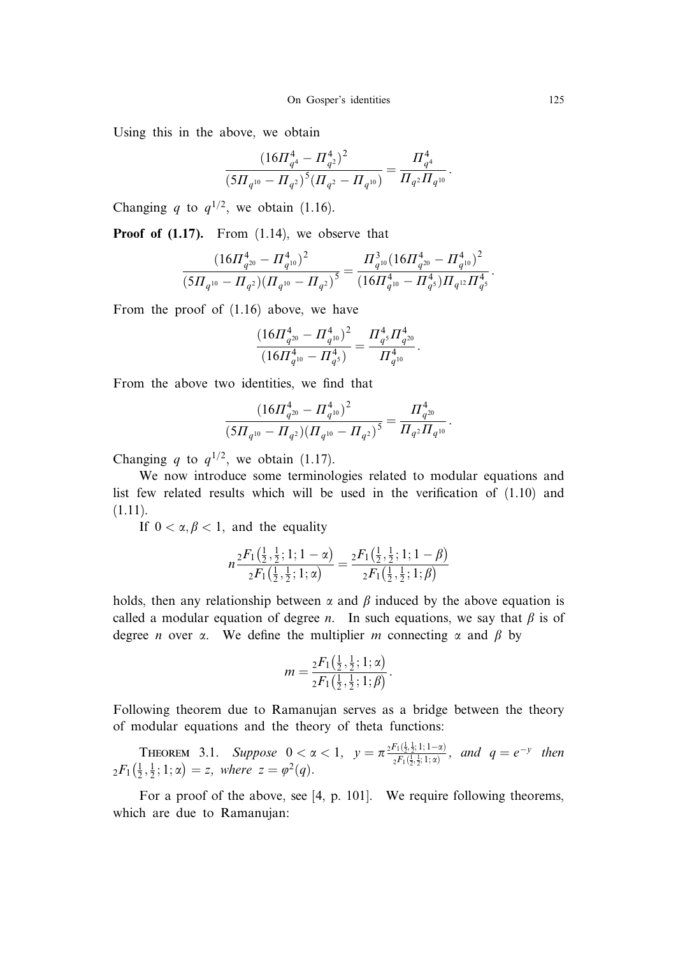Using this in the above, we obtain

$$
\frac{(16\pi_{q^4}^4 - \pi_{q^2}^4)^2}{(5\pi_{q^{10}} - \pi_{q^2})^5 (\pi_{q^2} - \pi_{q^{10}})} = \frac{\pi_{q^4}^4}{\pi_{q^2} \pi_{q^{10}}}
$$

:

Changing q to  $q^{1/2}$ , we obtain (1.16).

**Proof of (1.17).** From  $(1.14)$ , we observe that

$$
\frac{\left(16\pi_{q^{20}}^4 - \pi_{q^{10}}^4\right)^2}{\left(5H_{q^{10}} - \pi_{q^2}\right)\left(\pi_{q^{10}} - \pi_{q^2}\right)^5} = \frac{\pi_{q^{10}}^3 \left(16\pi_{q^{20}}^4 - \pi_{q^{10}}^4\right)^2}{\left(16\pi_{q^{10}}^4 - \pi_{q^5}\right)\pi_{q^{12}}\pi_{q^5}^4}.
$$

From the proof of (1.16) above, we have

$$
\frac{(16\varPi_{q^{20}}^4 - \varPi_{q^{10}}^4)^2}{(16\varPi_{q^{10}}^4 - \varPi_{q^5}^4)} = \frac{\varPi_{q^5}^4 \varPi_{q^{20}}^4}{\varPi_{q^{10}}^4}.
$$

From the above two identities, we find that

$$
\frac{(16\varPi_{q^{20}}^4 - \varPi_{q^{10}}^4)^2}{(5\varPi_{q^{10}} - \varPi_{q^2})(\varPi_{q^{10}} - \varPi_{q^2})^5} = \frac{\varPi_{q^{20}}^4}{\varPi_{q^2}\varPi_{q^{10}}}.
$$

Changing q to  $q^{1/2}$ , we obtain (1.17).

We now introduce some terminologies related to modular equations and list few related results which will be used in the verification of (1.10) and (1.11).

If  $0 < \alpha, \beta < 1$ , and the equality

$$
n \frac{{}_2F_1\left(\frac{1}{2},\frac{1}{2};1;1-\alpha\right)}{{}_2F_1\left(\frac{1}{2},\frac{1}{2};1;\alpha\right)} = \frac{{}_2F_1\left(\frac{1}{2},\frac{1}{2};1;1-\beta\right)}{{}_2F_1\left(\frac{1}{2},\frac{1}{2};1;\beta\right)}
$$

holds, then any relationship between  $\alpha$  and  $\beta$  induced by the above equation is called a modular equation of degree *n*. In such equations, we say that  $\beta$  is of degree *n* over  $\alpha$ . We define the multiplier *m* connecting  $\alpha$  and  $\beta$  by

$$
m = \frac{{}_2F_1(\frac{1}{2},\frac{1}{2};1;\alpha)}{{}_2F_1(\frac{1}{2},\frac{1}{2};1;\beta)}.
$$

Following theorem due to Ramanujan serves as a bridge between the theory of modular equations and the theory of theta functions:

**THEOREM** 3.1. Suppose  $0 < \alpha < 1$ ,  $y = \pi \frac{2F_1(\frac{1}{2}, \frac{1}{2}; 1; 1-\alpha)}{2F_1(\frac{1}{2}, \frac{1}{2}; 1; 1-\alpha)}$  $\frac{f_{1}(\frac{1}{2},\frac{1}{2};1;1-\alpha)}{2F_{1}(\frac{1}{2},\frac{1}{2};1;\alpha)}$ , and  $q=e^{-y}$  then  ${}_{2}F_{1}(\frac{1}{2},\frac{1}{2};1;\alpha) = z$ , where  $z = \varphi^{2}(q)$ .

For a proof of the above, see [4, p. 101]. We require following theorems, which are due to Ramanujan: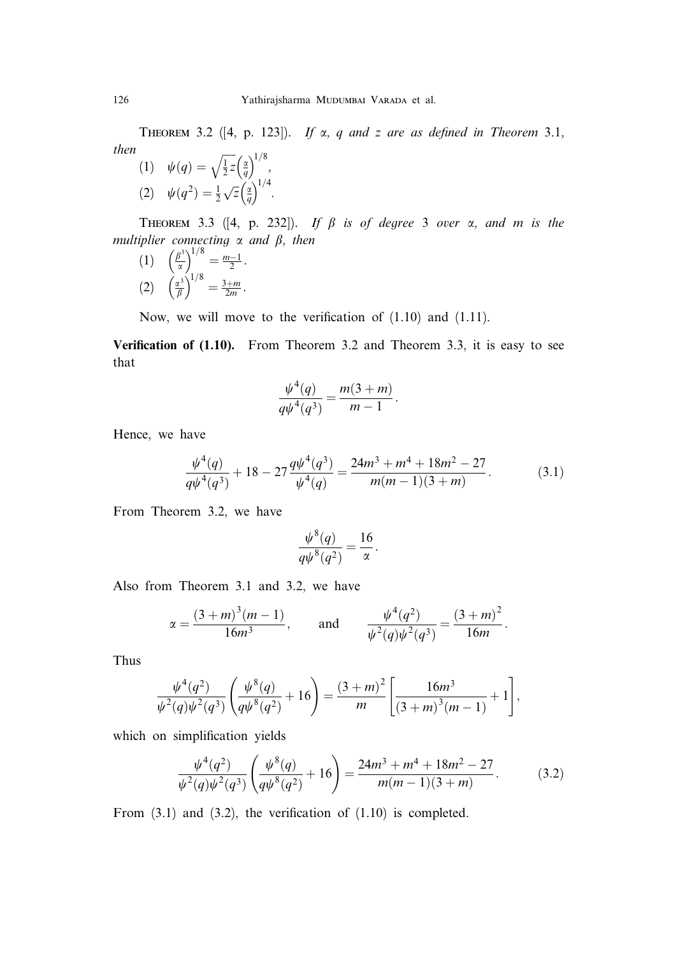THEOREM 3.2 ([4, p. 123]). If  $\alpha$ , q and z are as defined in Theorem 3.1, then  $\sqrt{17}$   $\left(\frac{\alpha}{2}\right)^{1/8}$ 

(1) 
$$
\psi(q) = \sqrt{\frac{1}{2}} z \left(\frac{q}{q}\right)^{1/3},
$$
  
(2) 
$$
\psi(q^2) = \frac{1}{2} \sqrt{z} \left(\frac{q}{q}\right)^{1/4}.
$$

THEOREM 3.3 ([4, p. 232]). If  $\beta$  is of degree 3 over  $\alpha$ , and  $m$  is the multiplier connecting  $\alpha$  and  $\beta$ , then

(1) 
$$
\left(\frac{\beta^3}{\alpha}\right)^{1/8} = \frac{m-1}{2}
$$
.  
\n(2)  $\left(\frac{\alpha^3}{\beta}\right)^{1/8} = \frac{3+m}{2m}$ .

Now, we will move to the verification of (1.10) and (1.11).

Verification of (1.10). From Theorem 3.2 and Theorem 3.3, it is easy to see that

$$
\frac{\psi^4(q)}{q\psi^4(q^3)} = \frac{m(3+m)}{m-1}.
$$

Hence, we have

$$
\frac{\psi^4(q)}{q\psi^4(q^3)} + 18 - 27 \frac{q\psi^4(q^3)}{\psi^4(q)} = \frac{24m^3 + m^4 + 18m^2 - 27}{m(m-1)(3+m)}.\tag{3.1}
$$

From Theorem 3.2, we have

$$
\frac{\psi^8(q)}{q\psi^8(q^2)} = \frac{16}{\alpha}.
$$

Also from Theorem 3.1 and 3.2, we have

$$
\alpha = \frac{(3+m)^3(m-1)}{16m^3}
$$
, and  $\frac{\psi^4(q^2)}{\psi^2(q)\psi^2(q^3)} = \frac{(3+m)^2}{16m}$ .

Thus

$$
\frac{\psi^4(q^2)}{\psi^2(q)\psi^2(q^3)}\left(\frac{\psi^8(q)}{q\psi^8(q^2)}+16\right)=\frac{(3+m)^2}{m}\left[\frac{16m^3}{(3+m)^3(m-1)}+1\right],
$$

which on simplification yields

$$
\frac{\psi^4(q^2)}{\psi^2(q)\psi^2(q^3)} \left(\frac{\psi^8(q)}{q\psi^8(q^2)} + 16\right) = \frac{24m^3 + m^4 + 18m^2 - 27}{m(m-1)(3+m)}.\tag{3.2}
$$

From  $(3.1)$  and  $(3.2)$ , the verification of  $(1.10)$  is completed.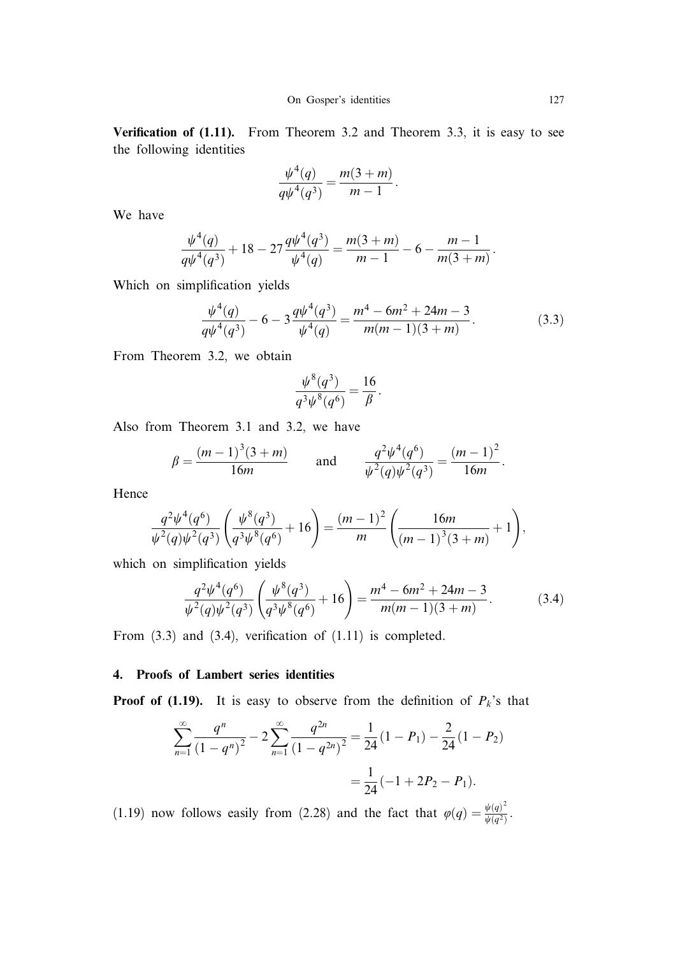Verification of (1.11). From Theorem 3.2 and Theorem 3.3, it is easy to see the following identities

$$
\frac{\psi^4(q)}{q\psi^4(q^3)} = \frac{m(3+m)}{m-1}.
$$

We have

$$
\frac{\psi^4(q)}{q\psi^4(q^3)} + 18 - 27 \frac{q\psi^4(q^3)}{\psi^4(q)} = \frac{m(3+m)}{m-1} - 6 - \frac{m-1}{m(3+m)}.
$$

Which on simplification yields

$$
\frac{\psi^4(q)}{q\psi^4(q^3)} - 6 - 3\frac{q\psi^4(q^3)}{\psi^4(q)} = \frac{m^4 - 6m^2 + 24m - 3}{m(m-1)(3+m)}.
$$
\n(3.3)

From Theorem 3.2, we obtain

$$
\frac{\psi^8(q^3)}{q^3\psi^8(q^6)} = \frac{16}{\beta}.
$$

Also from Theorem 3.1 and 3.2, we have

$$
\beta = \frac{(m-1)^3(3+m)}{16m}
$$
 and  $\frac{q^2\psi^4(q^6)}{\psi^2(q)\psi^2(q^3)} = \frac{(m-1)^2}{16m}$ .

Hence

$$
\frac{q^2\psi^4(q^6)}{\psi^2(q)\psi^2(q^3)}\left(\frac{\psi^8(q^3)}{q^3\psi^8(q^6)}+16\right)=\frac{(m-1)^2}{m}\left(\frac{16m}{(m-1)^3(3+m)}+1\right),\,
$$

which on simplification yields

$$
\frac{q^2\psi^4(q^6)}{\psi^2(q)\psi^2(q^3)}\left(\frac{\psi^8(q^3)}{q^3\psi^8(q^6)}+16\right)=\frac{m^4-6m^2+24m-3}{m(m-1)(3+m)}.\tag{3.4}
$$

From  $(3.3)$  and  $(3.4)$ , verification of  $(1.11)$  is completed.

### 4. Proofs of Lambert series identities

**Proof of (1.19).** It is easy to observe from the definition of  $P_k$ 's that

$$
\sum_{n=1}^{\infty} \frac{q^n}{(1-q^n)^2} - 2\sum_{n=1}^{\infty} \frac{q^{2n}}{(1-q^{2n})^2} = \frac{1}{24}(1-P_1) - \frac{2}{24}(1-P_2) = \frac{1}{24}(-1+2P_2-P_1).
$$

(1.19) now follows easily from (2.28) and the fact that  $\varphi(q) = \frac{\psi(q)^2}{\psi(q^2)}$ .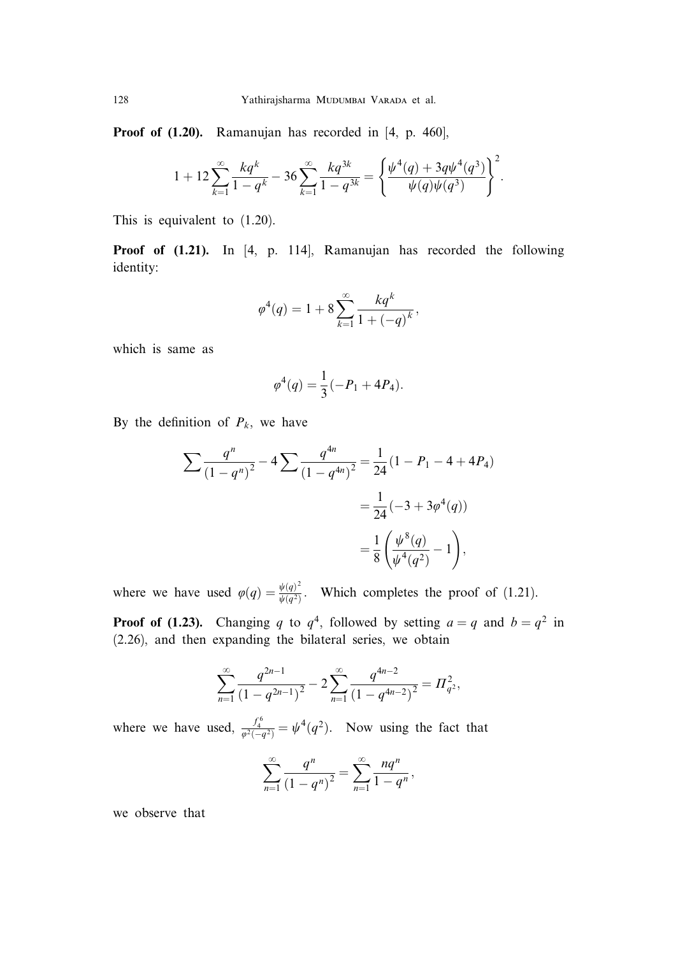Proof of  $(1.20)$ . Ramanujan has recorded in [4, p. 460],

$$
1 + 12 \sum_{k=1}^{\infty} \frac{kq^k}{1 - q^k} - 36 \sum_{k=1}^{\infty} \frac{kq^{3k}}{1 - q^{3k}} = \left\{ \frac{\psi^4(q) + 3q\psi^4(q^3)}{\psi(q)\psi(q^3)} \right\}^2.
$$

This is equivalent to (1.20).

Proof of  $(1.21)$ . In [4, p. 114], Ramanujan has recorded the following identity:

$$
\varphi^4(q) = 1 + 8 \sum_{k=1}^{\infty} \frac{kq^k}{1 + (-q)^k},
$$

which is same as

$$
\varphi^4(q) = \frac{1}{3}(-P_1 + 4P_4).
$$

By the definition of  $P_k$ , we have

$$
\sum \frac{q^n}{(1-q^n)^2} - 4 \sum \frac{q^{4n}}{(1-q^{4n})^2} = \frac{1}{24} (1 - P_1 - 4 + 4P_4)
$$

$$
= \frac{1}{24} (-3 + 3\varphi^4(q))
$$

$$
= \frac{1}{8} \left( \frac{\psi^8(q)}{\psi^4(q^2)} - 1 \right),
$$

where we have used  $\varphi(q) = \frac{\psi(q)^2}{\psi(q^2)}$ . Which completes the proof of (1.21).

**Proof of (1.23).** Changing q to  $q^4$ , followed by setting  $a = q$  and  $b = q^2$  in (2.26), and then expanding the bilateral series, we obtain

$$
\sum_{n=1}^{\infty} \frac{q^{2n-1}}{(1-q^{2n-1})^2} - 2\sum_{n=1}^{\infty} \frac{q^{4n-2}}{(1-q^{4n-2})^2} = \Pi_{q^2}^2,
$$

where we have used,  $\frac{f_4^6}{\varphi^2(-q^2)} = \psi^4(q^2)$ . Now using the fact that

$$
\sum_{n=1}^{\infty} \frac{q^n}{(1-q^n)^2} = \sum_{n=1}^{\infty} \frac{nq^n}{1-q^n},
$$

we observe that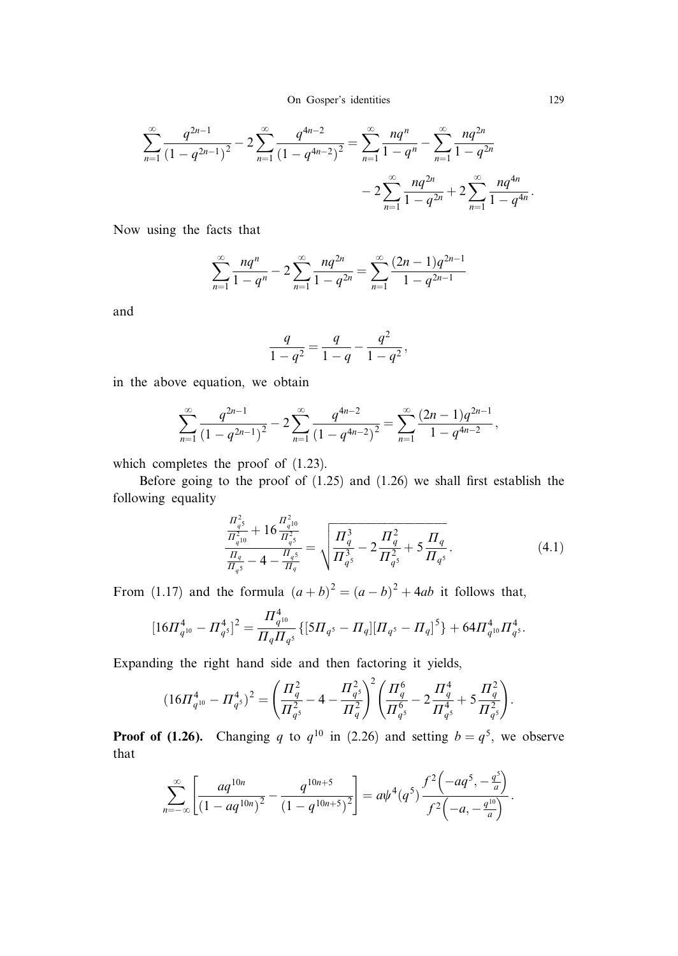$$
\sum_{n=1}^{\infty} \frac{q^{2n-1}}{(1-q^{2n-1})^2} - 2\sum_{n=1}^{\infty} \frac{q^{4n-2}}{(1-q^{4n-2})^2} = \sum_{n=1}^{\infty} \frac{nq^n}{1-q^n} - \sum_{n=1}^{\infty} \frac{nq^{2n}}{1-q^{2n}} - 2\sum_{n=1}^{\infty} \frac{nq^{2n}}{1-q^{2n}} + 2\sum_{n=1}^{\infty} \frac{nq^{4n}}{1-q^{4n}}.
$$

Now using the facts that

$$
\sum_{n=1}^{\infty} \frac{nq^n}{1-q^n} - 2\sum_{n=1}^{\infty} \frac{nq^{2n}}{1-q^{2n}} = \sum_{n=1}^{\infty} \frac{(2n-1)q^{2n-1}}{1-q^{2n-1}}
$$

and

$$
\frac{q}{1-q^2} = \frac{q}{1-q} - \frac{q^2}{1-q^2},
$$

in the above equation, we obtain

$$
\sum_{n=1}^{\infty} \frac{q^{2n-1}}{(1-q^{2n-1})^2} - 2\sum_{n=1}^{\infty} \frac{q^{4n-2}}{(1-q^{4n-2})^2} = \sum_{n=1}^{\infty} \frac{(2n-1)q^{2n-1}}{1-q^{4n-2}},
$$

which completes the proof of  $(1.23)$ .

Before going to the proof of (1.25) and (1.26) we shall first establish the following equality

$$
\frac{\frac{\Pi_{q^5}^2}{\Pi_{q^{10}}^2} + 16 \frac{\Pi_{q^{10}}^2}{\Pi_{q^5}^2}}{\frac{\Pi_q}{\Pi_{q^5}} - 4 - \frac{\Pi_{q^5}}{\Pi_q}} = \sqrt{\frac{\Pi_q^3}{\Pi_{q^5}^3} - 2\frac{\Pi_q^2}{\Pi_{q^5}^2} + 5\frac{\Pi_q}{\Pi_{q^5}}}.
$$
\n(4.1)

From (1.17) and the formula  $(a + b)^2 = (a - b)^2 + 4ab$  it follows that,

$$
[16\Pi_{q^{10}}^4 - \Pi_{q^{5}}^4]^2 = \frac{\Pi_{q^{10}}^4}{\Pi_q \Pi_{q^{5}}} \{ [5\Pi_{q^{5}} - \Pi_q] [\Pi_{q^{5}} - \Pi_q]^5 \} + 64\Pi_{q^{10}}^4 \Pi_{q^{5}}^4.
$$

Expanding the right hand side and then factoring it yields,

$$
(16\varPi_{q^{10}}^4-\varPi_{q^{5}}^4)^2=\Bigg(\frac{\varPi_q^2}{\varPi_{q^{5}}^2}-4-\frac{\varPi_{q^{5}}^2}{\varPi_{q}^2}\Bigg)^2\Bigg(\frac{\varPi_q^6}{\varPi_{q^{5}}^6}-2\frac{\varPi_q^4}{\varPi_{q^{5}}^4}+5\frac{\varPi_q^2}{\varPi_{q^{5}}^2}\Bigg).
$$

**Proof of (1.26).** Changing q to  $q^{10}$  in (2.26) and setting  $b = q^5$ , we observe that

$$
\sum_{n=-\infty}^{\infty} \left[ \frac{aq^{10n}}{(1-aq^{10n})^2} - \frac{q^{10n+5}}{(1-q^{10n+5})^2} \right] = a\psi^4(q^5) \frac{f^2(-aq^5, -\frac{q^5}{a})}{f^2(-a, -\frac{q^{10}}{a})}.
$$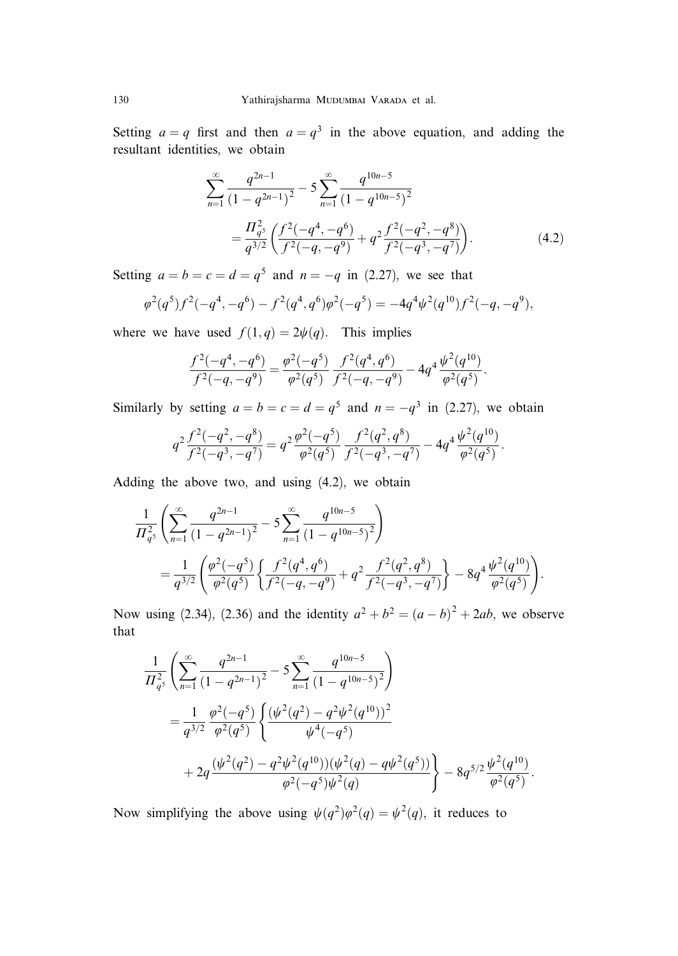Setting  $a = q$  first and then  $a = q<sup>3</sup>$  in the above equation, and adding the resultant identities, we obtain

$$
\sum_{n=1}^{\infty} \frac{q^{2n-1}}{(1-q^{2n-1})^2} - 5 \sum_{n=1}^{\infty} \frac{q^{10n-5}}{(1-q^{10n-5})^2}
$$

$$
= \frac{\prod_{q=5}^{2} \left(\frac{f^2(-q^4, -q^6)}{f^2(-q, -q^9)} + q^2 \frac{f^2(-q^2, -q^8)}{f^2(-q^3, -q^7)}\right). \tag{4.2}
$$

Setting  $a = b = c = d = q^5$  and  $n = -q$  in (2.27), we see that

$$
\varphi^2(q^5)f^2(-q^4,-q^6) - f^2(q^4,q^6)\varphi^2(-q^5) = -4q^4\psi^2(q^{10})f^2(-q,-q^9),
$$

where we have used  $f(1, q) = 2\psi(q)$ . This implies

$$
\frac{f^2(-q^4, -q^6)}{f^2(-q, -q^9)} = \frac{\varphi^2(-q^5)}{\varphi^2(q^5)} \frac{f^2(q^4, q^6)}{f^2(-q, -q^9)} - 4q^4 \frac{\psi^2(q^{10})}{\varphi^2(q^5)}.
$$

Similarly by setting  $a = b = c = d = q^5$  and  $n = -q^3$  in (2.27), we obtain

$$
q^2 \frac{f^2(-q^2, -q^8)}{f^2(-q^3, -q^7)} = q^2 \frac{\varphi^2(-q^5)}{\varphi^2(q^5)} \frac{f^2(q^2, q^8)}{f^2(-q^3, -q^7)} - 4q^4 \frac{\psi^2(q^{10})}{\varphi^2(q^5)}.
$$

Adding the above two, and using (4.2), we obtain

$$
\frac{1}{\Pi_{q^5}^2} \left( \sum_{n=1}^{\infty} \frac{q^{2n-1}}{(1-q^{2n-1})^2} - 5 \sum_{n=1}^{\infty} \frac{q^{10n-5}}{(1-q^{10n-5})^2} \right)
$$
\n
$$
= \frac{1}{q^{3/2}} \left( \frac{\varphi^2(-q^5)}{\varphi^2(q^5)} \left\{ \frac{f^2(q^4,q^6)}{f^2(-q,-q^9)} + q^2 \frac{f^2(q^2,q^8)}{f^2(-q^3,-q^7)} \right\} - 8q^4 \frac{\psi^2(q^{10})}{\varphi^2(q^5)} \right).
$$

Now using (2.34), (2.36) and the identity  $a^2 + b^2 = (a - b)^2 + 2ab$ , we observe that

$$
\frac{1}{\Pi_q^2} \left( \sum_{n=1}^{\infty} \frac{q^{2n-1}}{(1-q^{2n-1})^2} - 5 \sum_{n=1}^{\infty} \frac{q^{10n-5}}{(1-q^{10n-5})^2} \right)
$$
  
= 
$$
\frac{1}{q^{3/2}} \frac{\varphi^2(-q^5)}{\varphi^2(q^5)} \left\{ \frac{(\psi^2(q^2) - q^2 \psi^2(q^{10}))^2}{\psi^4(-q^5)} + 2q \frac{(\psi^2(q^2) - q^2 \psi^2(q^{10}))(\psi^2(q) - q\psi^2(q^5))}{\varphi^2(-q^5)\psi^2(q)} \right\} - 8q^{5/2} \frac{\psi^2(q^{10})}{\varphi^2(q^5)}.
$$

Now simplifying the above using  $\psi(q^2)\varphi^2(q) = \psi^2(q)$ , it reduces to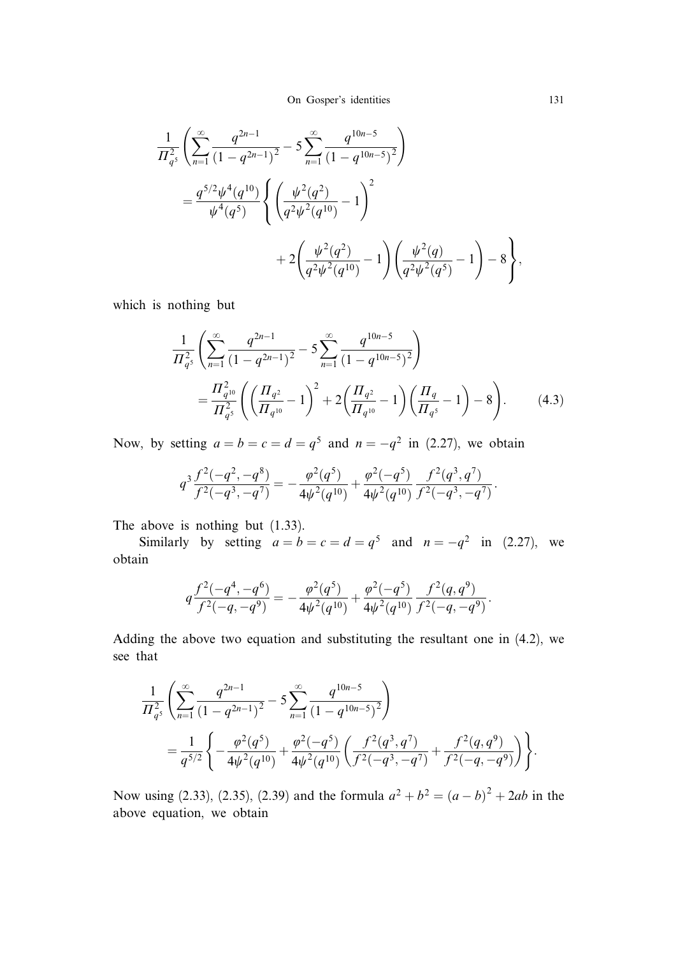$$
\frac{1}{\Pi_{q^5}^2} \left( \sum_{n=1}^{\infty} \frac{q^{2n-1}}{(1-q^{2n-1})^2} - 5 \sum_{n=1}^{\infty} \frac{q^{10n-5}}{(1-q^{10n-5})^2} \right)
$$
  
= 
$$
\frac{q^{5/2} \psi^4(q^{10})}{\psi^4(q^5)} \left\{ \left( \frac{\psi^2(q^2)}{q^2 \psi^2(q^{10})} - 1 \right)^2 + 2 \left( \frac{\psi^2(q^2)}{q^2 \psi^2(q^{10})} - 1 \right) \left( \frac{\psi^2(q)}{q^2 \psi^2(q^5)} - 1 \right) - 8 \right\},
$$

which is nothing but

$$
\frac{1}{\Pi_{q^5}^2} \left( \sum_{n=1}^{\infty} \frac{q^{2n-1}}{(1-q^{2n-1})^2} - 5 \sum_{n=1}^{\infty} \frac{q^{10n-5}}{(1-q^{10n-5})^2} \right)
$$
\n
$$
= \frac{\Pi_{q^{10}}^2}{\Pi_{q^5}^2} \left( \left( \frac{\Pi_{q^2}}{\Pi_{q^{10}}} - 1 \right)^2 + 2 \left( \frac{\Pi_{q^2}}{\Pi_{q^{10}}} - 1 \right) \left( \frac{\Pi_q}{\Pi_{q^5}} - 1 \right) - 8 \right). \tag{4.3}
$$

Now, by setting  $a = b = c = d = q^5$  and  $n = -q^2$  in (2.27), we obtain

$$
q^3 \frac{f^2(-q^2, -q^8)}{f^2(-q^3, -q^7)} = -\frac{\varphi^2(q^5)}{4\psi^2(q^{10})} + \frac{\varphi^2(-q^5)}{4\psi^2(q^{10})} \frac{f^2(q^3, q^7)}{f^2(-q^3, -q^7)}.
$$

The above is nothing but (1.33).

Similarly by setting  $a = b = c = d = q^5$  and  $n = -q^2$  in (2.27), we obtain

$$
q\frac{f^2(-q^4,-q^6)}{f^2(-q,-q^9)} = -\frac{\varphi^2(q^5)}{4\psi^2(q^{10})} + \frac{\varphi^2(-q^5)}{4\psi^2(q^{10})} \frac{f^2(q,q^9)}{f^2(-q,-q^9)}.
$$

Adding the above two equation and substituting the resultant one in (4.2), we see that

$$
\frac{1}{\Pi_{q^5}^2} \left( \sum_{n=1}^{\infty} \frac{q^{2n-1}}{(1-q^{2n-1})^2} - 5 \sum_{n=1}^{\infty} \frac{q^{10n-5}}{(1-q^{10n-5})^2} \right)
$$
  
= 
$$
\frac{1}{q^{5/2}} \left\{ -\frac{\varphi^2(q^5)}{4\psi^2(q^{10})} + \frac{\varphi^2(-q^5)}{4\psi^2(q^{10})} \left( \frac{f^2(q^3, q^7)}{f^2(-q^3, -q^7)} + \frac{f^2(q, q^9)}{f^2(-q, -q^9)} \right) \right\}.
$$

Now using (2.33), (2.35), (2.39) and the formula  $a^2 + b^2 = (a - b)^2 + 2ab$  in the above equation, we obtain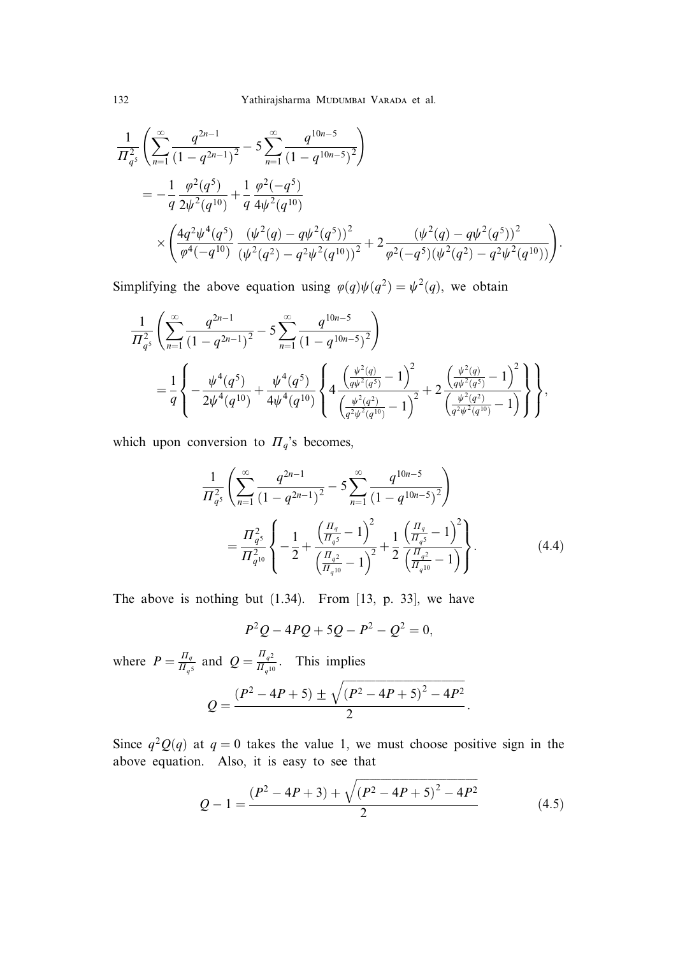$$
\frac{1}{\Pi_{q^5}^2} \left( \sum_{n=1}^{\infty} \frac{q^{2n-1}}{(1-q^{2n-1})^2} - 5 \sum_{n=1}^{\infty} \frac{q^{10n-5}}{(1-q^{10n-5})^2} \right)
$$
\n
$$
= -\frac{1}{q} \frac{\varphi^2(q^5)}{2\psi^2(q^{10})} + \frac{1}{q} \frac{\varphi^2(-q^5)}{4\psi^2(q^{10})}
$$
\n
$$
\times \left( \frac{4q^2\psi^4(q^5)}{\varphi^4(-q^{10})} \frac{(\psi^2(q) - q\psi^2(q^5))^2}{(\psi^2(q^2) - q^2\psi^2(q^{10}))^2} + 2 \frac{(\psi^2(q) - q\psi^2(q^5))^2}{\varphi^2(-q^5)(\psi^2(q^2) - q^2\psi^2(q^{10}))} \right).
$$

Simplifying the above equation using  $\varphi(q)\psi(q^2) = \psi^2(q)$ , we obtain

$$
\frac{1}{\Pi_{q^5}^2} \left( \sum_{n=1}^{\infty} \frac{q^{2n-1}}{(1-q^{2n-1})^2} - 5 \sum_{n=1}^{\infty} \frac{q^{10n-5}}{(1-q^{10n-5})^2} \right)
$$
\n
$$
= \frac{1}{q} \left\{ -\frac{\psi^4(q^5)}{2\psi^4(q^{10})} + \frac{\psi^4(q^5)}{4\psi^4(q^{10})} \left\{ 4 \frac{\left(\frac{\psi^2(q)}{q\psi^2(q^5)} - 1\right)^2}{\left(\frac{\psi^2(q^2)}{q^2\psi^2(q^{10})} - 1\right)^2} + 2 \frac{\left(\frac{\psi^2(q)}{q\psi^2(q^2)} - 1\right)^2}{\left(\frac{\psi^2(q^2)}{q^2\psi^2(q^{10})} - 1\right)} \right\},
$$

which upon conversion to  $\Pi_q$ 's becomes,

$$
\frac{1}{\Pi_{q^5}^2} \left( \sum_{n=1}^{\infty} \frac{q^{2n-1}}{(1-q^{2n-1})^2} - 5 \sum_{n=1}^{\infty} \frac{q^{10n-5}}{(1-q^{10n-5})^2} \right)
$$
\n
$$
= \frac{\Pi_{q^5}^2}{\Pi_{q^{10}}^2} \left\{ -\frac{1}{2} + \frac{\left(\frac{\Pi_q}{\Pi_{q^5}} - 1\right)^2}{\left(\frac{\Pi_{q^2}}{\Pi_{q^{10}}} - 1\right)^2} + \frac{1}{2} \frac{\left(\frac{\Pi_q}{\Pi_{q^5}} - 1\right)^2}{\left(\frac{\Pi_{q^2}}{\Pi_{q^{10}}} - 1\right)} \right\}.
$$
\n(4.4)

The above is nothing but (1.34). From [13, p. 33], we have

$$
P^2Q - 4PQ + 5Q - P^2 - Q^2 = 0,
$$

where  $P = \frac{\Pi_q}{\Pi_q s}$  and  $Q = \frac{\Pi_{q2}}{\Pi_{q10}}$ . This implies

$$
Q = \frac{(P^2 - 4P + 5) \pm \sqrt{(P^2 - 4P + 5)^2 - 4P^2}}{2}.
$$

Since  $q^2Q(q)$  at  $q = 0$  takes the value 1, we must choose positive sign in the above equation. Also, it is easy to see that

$$
Q - 1 = \frac{(P^2 - 4P + 3) + \sqrt{(P^2 - 4P + 5)^2 - 4P^2}}{2}
$$
\n(4.5)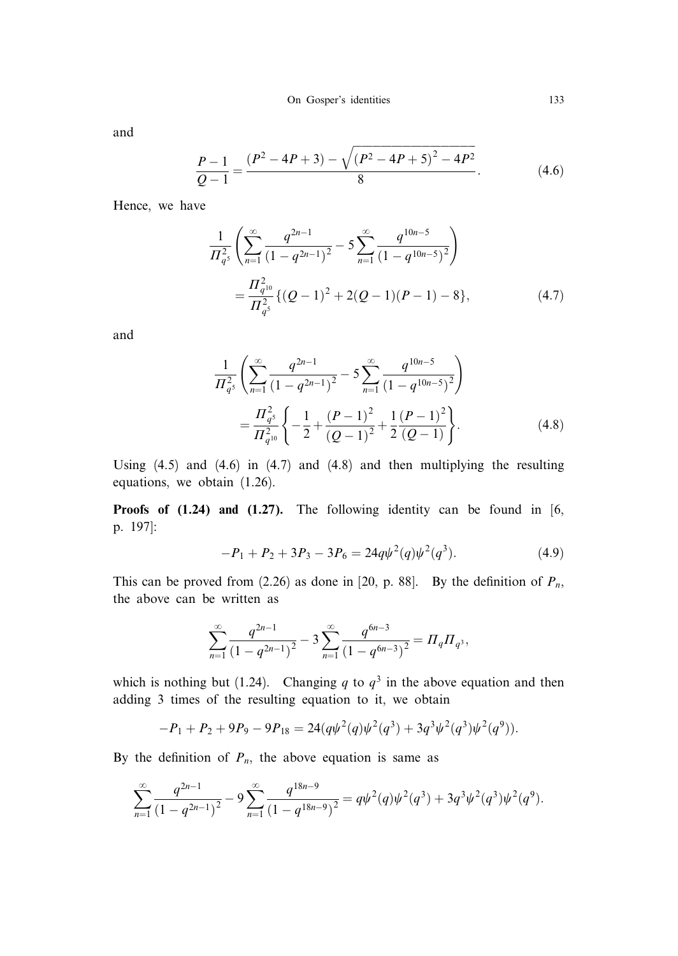and

$$
\frac{P-1}{Q-1} = \frac{(P^2 - 4P + 3) - \sqrt{(P^2 - 4P + 5)^2 - 4P^2}}{8}.
$$
\n(4.6)

Hence, we have

$$
\frac{1}{\Pi_{q^5}^2} \left( \sum_{n=1}^{\infty} \frac{q^{2n-1}}{(1-q^{2n-1})^2} - 5 \sum_{n=1}^{\infty} \frac{q^{10n-5}}{(1-q^{10n-5})^2} \right)
$$

$$
= \frac{\Pi_{q^{10}}^2}{\Pi_{q^5}^2} \{ (Q-1)^2 + 2(Q-1)(P-1) - 8 \}, \tag{4.7}
$$

and

$$
\frac{1}{\Pi_{q^5}^2} \left( \sum_{n=1}^{\infty} \frac{q^{2n-1}}{(1-q^{2n-1})^2} - 5 \sum_{n=1}^{\infty} \frac{q^{10n-5}}{(1-q^{10n-5})^2} \right)
$$

$$
= \frac{\Pi_{q^5}^2}{\Pi_{q^{10}}^2} \left\{ -\frac{1}{2} + \frac{(P-1)^2}{(Q-1)^2} + \frac{1}{2} \frac{(P-1)^2}{(Q-1)} \right\}.
$$
(4.8)

Using  $(4.5)$  and  $(4.6)$  in  $(4.7)$  and  $(4.8)$  and then multiplying the resulting equations, we obtain (1.26).

**Proofs of (1.24) and (1.27).** The following identity can be found in  $[6, 1]$ p. 197]:

$$
-P_1 + P_2 + 3P_3 - 3P_6 = 24q\psi^2(q)\psi^2(q^3). \tag{4.9}
$$

This can be proved from (2.26) as done in [20, p. 88]. By the definition of  $P_n$ , the above can be written as

$$
\sum_{n=1}^{\infty} \frac{q^{2n-1}}{(1-q^{2n-1})^2} - 3 \sum_{n=1}^{\infty} \frac{q^{6n-3}}{(1-q^{6n-3})^2} = \Pi_q \Pi_q,
$$

which is nothing but (1.24). Changing q to  $q<sup>3</sup>$  in the above equation and then adding 3 times of the resulting equation to it, we obtain

$$
-P_1 + P_2 + 9P_9 - 9P_{18} = 24(q\psi^2(q)\psi^2(q^3) + 3q^3\psi^2(q^3)\psi^2(q^9)).
$$

By the definition of  $P_n$ , the above equation is same as

$$
\sum_{n=1}^{\infty} \frac{q^{2n-1}}{(1-q^{2n-1})^2} - 9 \sum_{n=1}^{\infty} \frac{q^{18n-9}}{(1-q^{18n-9})^2} = q\psi^2(q)\psi^2(q^3) + 3q^3\psi^2(q^3)\psi^2(q^9).
$$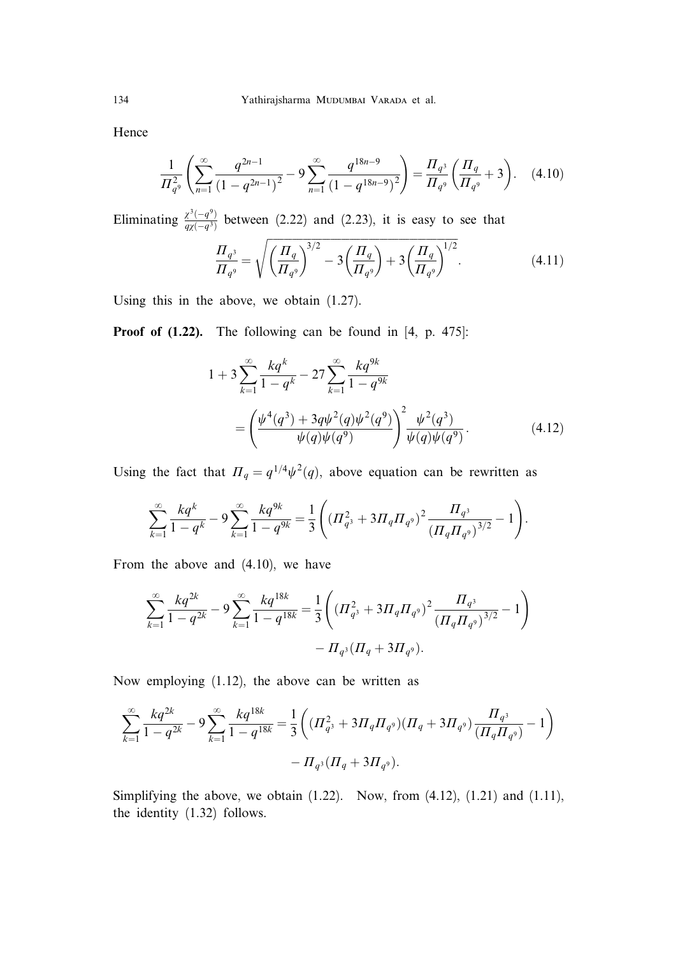Hence

$$
\frac{1}{\Pi_{q^9}^2} \left( \sum_{n=1}^{\infty} \frac{q^{2n-1}}{(1-q^{2n-1})^2} - 9 \sum_{n=1}^{\infty} \frac{q^{18n-9}}{(1-q^{18n-9})^2} \right) = \frac{\Pi_{q^3}}{\Pi_{q^9}} \left( \frac{\Pi_q}{\Pi_{q^9}} + 3 \right). \tag{4.10}
$$

Eliminating  $\frac{\chi^3(-q^9)}{q\chi(-q^3)}$  between (2.22) and (2.23), it is easy to see that  $\frac{1}{2}$ 

$$
\frac{\Pi_{q^3}}{\Pi_{q^9}} = \sqrt{\left(\frac{\Pi_q}{\Pi_{q^9}}\right)^{3/2} - 3\left(\frac{\Pi_q}{\Pi_{q^9}}\right) + 3\left(\frac{\Pi_q}{\Pi_{q^9}}\right)^{1/2}}.
$$
\n(4.11)

Using this in the above, we obtain (1.27).

Proof of  $(1.22)$ . The following can be found in [4, p. 475]:

$$
1 + 3 \sum_{k=1}^{\infty} \frac{kq^k}{1 - q^k} - 27 \sum_{k=1}^{\infty} \frac{kq^{9k}}{1 - q^{9k}}
$$
  
= 
$$
\left( \frac{\psi^4(q^3) + 3q\psi^2(q)\psi^2(q^9)}{\psi(q)\psi(q^9)} \right)^2 \frac{\psi^2(q^3)}{\psi(q)\psi(q^9)}.
$$
 (4.12)

Using the fact that  $\Pi_q = q^{1/4}\psi^2(q)$ , above equation can be rewritten as

$$
\sum_{k=1}^{\infty} \frac{kq^k}{1-q^k} - 9 \sum_{k=1}^{\infty} \frac{kq^{9k}}{1-q^{9k}} = \frac{1}{3} \left( \left( \frac{q^2}{1-q^3} + 3\frac{q^4}{1-q^9} \right)^2 \frac{H_{q^3}}{\left( \frac{q}{1-q} + 3\frac{q^3}{1-q^9} \right)^{3/2}} - 1 \right).
$$

From the above and (4.10), we have

$$
\sum_{k=1}^{\infty} \frac{kq^{2k}}{1-q^{2k}} - 9 \sum_{k=1}^{\infty} \frac{kq^{18k}}{1-q^{18k}} = \frac{1}{3} \left( \left( \frac{q^2}{q^3} + 3 \frac{q \pi}{q^9} \right)^2 \frac{H_{q^3}}{\left( \frac{q \pi}{q^9} \right)^{3/2}} - 1 \right) - \frac{1}{2} \left( \frac{q^3}{1-q^9} \right)^{1/2}.
$$

Now employing (1.12), the above can be written as

$$
\sum_{k=1}^{\infty} \frac{kq^{2k}}{1-q^{2k}} - 9 \sum_{k=1}^{\infty} \frac{kq^{18k}}{1-q^{18k}} = \frac{1}{3} \left( (H_{q^3}^2 + 3H_q H_{q^9})(H_q + 3H_{q^9}) \frac{H_{q^3}}{(H_q H_{q^9})} - 1 \right) - H_{q^3}(H_q + 3H_{q^9}).
$$

Simplifying the above, we obtain  $(1.22)$ . Now, from  $(4.12)$ ,  $(1.21)$  and  $(1.11)$ , the identity (1.32) follows.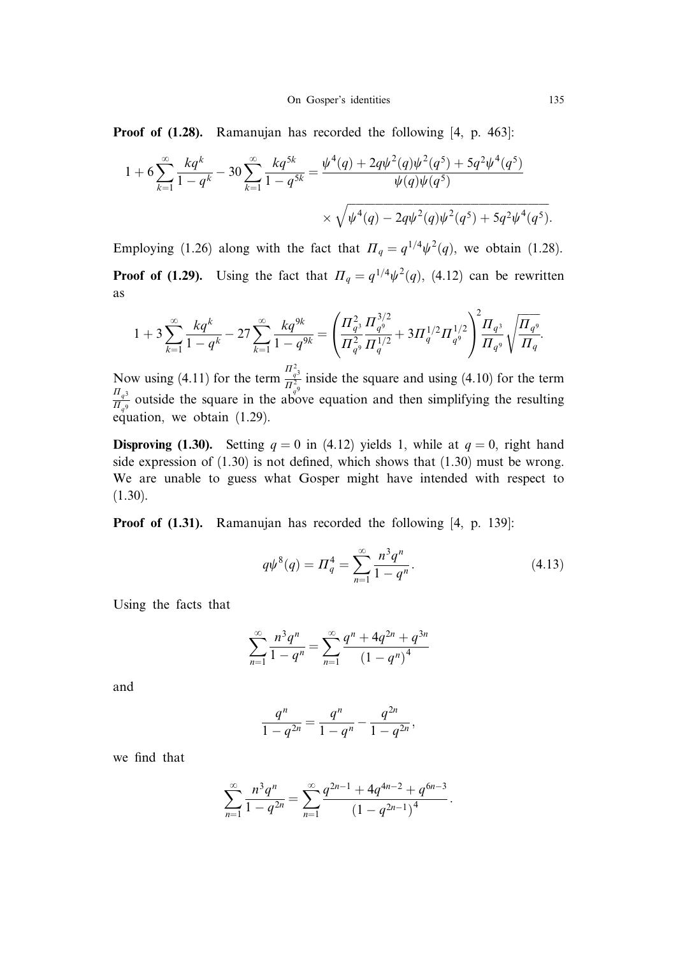Proof of  $(1.28)$ . Ramanujan has recorded the following [4, p. 463]:

$$
1 + 6 \sum_{k=1}^{\infty} \frac{kq^k}{1 - q^k} - 30 \sum_{k=1}^{\infty} \frac{kq^{5k}}{1 - q^{5k}} = \frac{\psi^4(q) + 2q\psi^2(q)\psi^2(q^5) + 5q^2\psi^4(q^5)}{\psi(q)\psi(q^5)} \times \sqrt{\psi^4(q) - 2q\psi^2(q)\psi^2(q^5) + 5q^2\psi^4(q^5)}.
$$

Employing (1.26) along with the fact that  $\Pi_q = q^{1/4} \psi^2(q)$ , we obtain (1.28). **Proof of (1.29).** Using the fact that  $\Pi_q = q^{1/4}\psi^2(q)$ , (4.12) can be rewritten as

$$
1+3\sum_{k=1}^{\infty}\frac{kq^k}{1-q^k}-27\sum_{k=1}^{\infty}\frac{kq^{9k}}{1-q^{9k}}=\left(\frac{\Pi_{q^3}^2}{\Pi_{q^9}^2}\frac{\Pi_{q^9}^{3/2}}{\Pi_{q}^{1/2}}+3\Pi_{q}^{1/2}\Pi_{q^9}^{1/2}\right)^2\frac{\Pi_{q^3}}{\Pi_{q^9}}\sqrt{\frac{\Pi_{q^9}}{\Pi_{q}}}.
$$

Now using (4.11) for the term  $\frac{\prod_{q=3}^{2}{n_{q}^{2}}}$  inside the square and using (4.10) for the term  $\frac{H_q^3}{H_{q9}}$  outside the square in the above equation and then simplifying the resulting equation, we obtain (1.29).

**Disproving (1.30).** Setting  $q = 0$  in (4.12) yields 1, while at  $q = 0$ , right hand side expression of  $(1.30)$  is not defined, which shows that  $(1.30)$  must be wrong. We are unable to guess what Gosper might have intended with respect to (1.30).

Proof of (1.31). Ramanujan has recorded the following [4, p. 139]:

$$
q\psi^{8}(q) = \Pi_{q}^{4} = \sum_{n=1}^{\infty} \frac{n^{3}q^{n}}{1 - q^{n}}.
$$
\n(4.13)

Using the facts that

$$
\sum_{n=1}^{\infty} \frac{n^3 q^n}{1 - q^n} = \sum_{n=1}^{\infty} \frac{q^n + 4q^{2n} + q^{3n}}{(1 - q^n)^4}
$$

and

$$
\frac{q^n}{1-q^{2n}} = \frac{q^n}{1-q^n} - \frac{q^{2n}}{1-q^{2n}},
$$

we find that

$$
\sum_{n=1}^{\infty} \frac{n^3 q^n}{1 - q^{2n}} = \sum_{n=1}^{\infty} \frac{q^{2n-1} + 4q^{4n-2} + q^{6n-3}}{(1 - q^{2n-1})^4}.
$$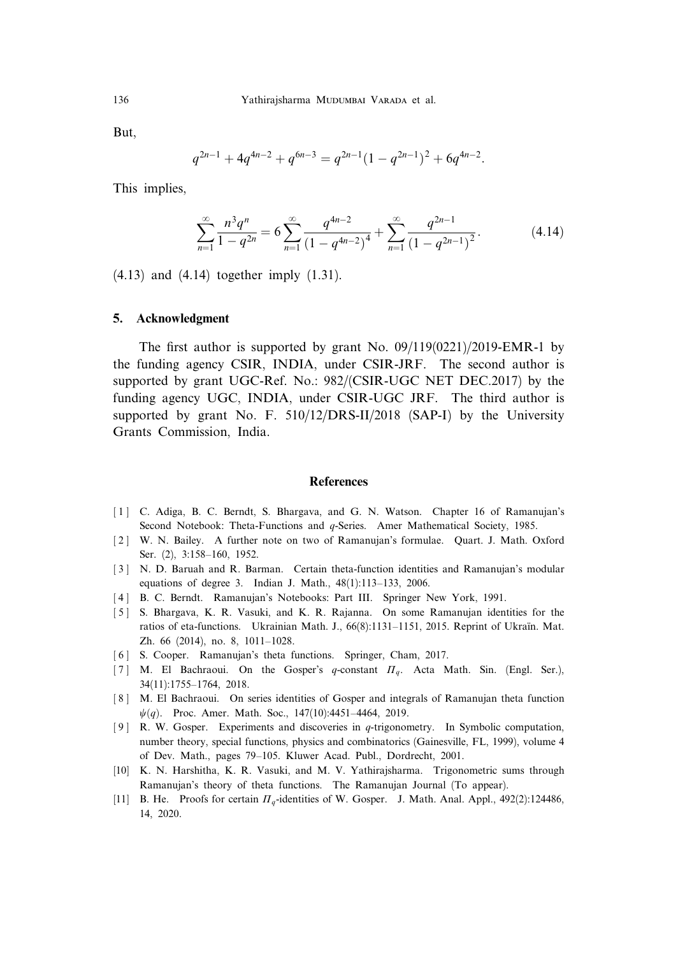But,

$$
q^{2n-1} + 4q^{4n-2} + q^{6n-3} = q^{2n-1}(1 - q^{2n-1})^2 + 6q^{4n-2}.
$$

This implies,

$$
\sum_{n=1}^{\infty} \frac{n^3 q^n}{1 - q^{2n}} = 6 \sum_{n=1}^{\infty} \frac{q^{4n-2}}{(1 - q^{4n-2})^4} + \sum_{n=1}^{\infty} \frac{q^{2n-1}}{(1 - q^{2n-1})^2}.
$$
 (4.14)

(4.13) and (4.14) together imply (1.31).

### 5. Acknowledgment

The first author is supported by grant No. 09/119(0221)/2019-EMR-1 by the funding agency CSIR, INDIA, under CSIR-JRF. The second author is supported by grant UGC-Ref. No.: 982/(CSIR-UGC NET DEC.2017) by the funding agency UGC, INDIA, under CSIR-UGC JRF. The third author is supported by grant No. F. 510/12/DRS-II/2018 (SAP-I) by the University Grants Commission, India.

### **References**

- [1] C. Adiga, B. C. Berndt, S. Bhargava, and G. N. Watson. Chapter 16 of Ramanujan's Second Notebook: Theta-Functions and *q*-Series. Amer Mathematical Society, 1985.
- [ 2 ] W. N. Bailey. A further note on two of Ramanujan's formulae. Quart. J. Math. Oxford Ser. (2), 3:158–160, 1952.
- [ 3 ] N. D. Baruah and R. Barman. Certain theta-function identities and Ramanujan's modular equations of degree 3. Indian J. Math., 48(1):113–133, 2006.
- [4] B. C. Berndt. Ramanujan's Notebooks: Part III. Springer New York, 1991.
- [ 5 ] S. Bhargava, K. R. Vasuki, and K. R. Rajanna. On some Ramanujan identities for the ratios of eta-functions. Ukrainian Math. J., 66(8):1131–1151, 2015. Reprint of Ukraïn. Mat. Zh. 66 (2014), no. 8, 1011–1028.
- [6] S. Cooper. Ramanujan's theta functions. Springer, Cham, 2017.
- [7] M. El Bachraoui. On the Gosper's q-constant  $\Pi_q$ . Acta Math. Sin. (Engl. Ser.), 34(11):1755–1764, 2018.
- [ 8 ] M. El Bachraoui. On series identities of Gosper and integrals of Ramanujan theta function  $\psi(q)$ . Proc. Amer. Math. Soc., 147(10):4451–4464, 2019.
- [9] R. W. Gosper. Experiments and discoveries in q-trigonometry. In Symbolic computation, number theory, special functions, physics and combinatorics (Gainesville, FL, 1999), volume 4 of Dev. Math., pages 79–105. Kluwer Acad. Publ., Dordrecht, 2001.
- [10] K. N. Harshitha, K. R. Vasuki, and M. V. Yathirajsharma. Trigonometric sums through Ramanujan's theory of theta functions. The Ramanujan Journal (To appear).
- [11] B. He. Proofs for certain  $\Pi_q$ -identities of W. Gosper. J. Math. Anal. Appl., 492(2):124486, 14, 2020.